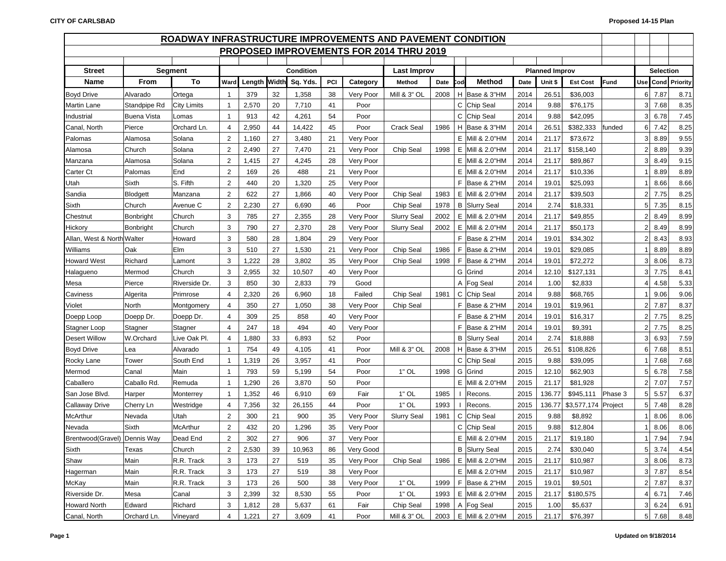| ROADWAY INFRASTRUCTURE IMPROVEMENTS AND PAVEMENT CONDITION |                    |                    |                         |        |       |           |     |           |                                          |      |     |                      |      |                       |                     |             |                 |                  |                   |
|------------------------------------------------------------|--------------------|--------------------|-------------------------|--------|-------|-----------|-----|-----------|------------------------------------------|------|-----|----------------------|------|-----------------------|---------------------|-------------|-----------------|------------------|-------------------|
|                                                            |                    |                    |                         |        |       |           |     |           | PROPOSED IMPROVEMENTS FOR 2014 THRU 2019 |      |     |                      |      |                       |                     |             |                 |                  |                   |
|                                                            |                    |                    |                         |        |       |           |     |           |                                          |      |     |                      |      |                       |                     |             |                 |                  |                   |
| <b>Street</b>                                              |                    | <b>Segment</b>     |                         |        |       | Condition |     |           | Last Improv                              |      |     |                      |      | <b>Planned Improv</b> |                     |             |                 | <b>Selection</b> |                   |
| <b>Name</b>                                                | From               | To                 | Ward                    | Length | Width | Sq. Yds.  | PCI | Category  | Method                                   | Date | Cod | <b>Method</b>        | Date | Unit \$               | <b>Est Cost</b>     | <b>Fund</b> |                 |                  | Use Cond Priority |
| <b>Boyd Drive</b>                                          | Alvarado           | Ortega             | $\overline{1}$          | 379    | 32    | 1,358     | 38  | Very Poor | <b>Mill &amp; 3" OL</b>                  | 2008 |     | H Base & 3"HM        | 2014 | 26.51                 | \$36,003            |             | 6               | 7.87             | 8.71              |
| <b>Martin Lane</b>                                         | Standpipe Rd       | <b>City Limits</b> | $\overline{1}$          | 2,570  | 20    | 7,710     | 41  | Poor      |                                          |      |     | C Chip Seal          | 2014 | 9.88                  | \$76,175            |             | 3               | 7.68             | 8.35              |
| Industrial                                                 | <b>Buena Vista</b> | Lomas              | $\overline{\mathbf{1}}$ | 913    | 42    | 4,261     | 54  | Poor      |                                          |      |     | C Chip Seal          | 2014 | 9.88                  | \$42,095            |             | 3               | 6.78             | 7.45              |
| Canal, North                                               | Pierce             | Orchard Ln.        | $\overline{4}$          | 2,950  | 44    | 14,422    | 45  | Poor      | <b>Crack Seal</b>                        | 1986 |     | H Base & 3"HM        | 2014 | 26.51                 | \$382,333           | funded      | $6 \mid$        | 7.42             | 8.25              |
| Palomas                                                    | Alamosa            | Solana             | $\overline{2}$          | 1,160  | 27    | 3,480     | 21  | Very Poor |                                          |      |     | E Mill & 2.0"HM      | 2014 | 21.17                 | \$73,672            |             | 3               | 8.89             | 9.55              |
| Alamosa                                                    | Church             | Solana             | $\overline{2}$          | 2,490  | 27    | 7,470     | 21  | Very Poor | Chip Seal                                | 1998 |     | E Mill & 2.0"HM      | 2014 | 21.17                 | \$158,140           |             | $\overline{2}$  | 8.89             | 9.39              |
| Manzana                                                    | Alamosa            | Solana             | $\overline{2}$          | 1,415  | 27    | 4,245     | 28  | Very Poor |                                          |      |     | E Mill & 2.0"HM      | 2014 | 21.17                 | \$89,867            |             | 3               | 8.49             | 9.15              |
| Carter Ct                                                  | Palomas            | End                | $\overline{2}$          | 169    | 26    | 488       | 21  | Very Poor |                                          |      |     | E   Mill & 2.0"HM    | 2014 | 21.17                 | \$10,336            |             |                 | 8.89             | 8.89              |
| Utah                                                       | Sixth              | S. Fifth           | $\overline{2}$          | 440    | 20    | 1,320     | 25  | Very Poor |                                          |      |     | F Base & 2"HM        | 2014 | 19.01                 | \$25,093            |             |                 | 8.66             | 8.66              |
| Sandia                                                     | <b>Blodgett</b>    | Manzana            | $\overline{2}$          | 622    | 27    | 1,866     | 40  | Very Poor | Chip Seal                                | 1983 |     | E   Mill & 2.0"HM    | 2014 | 21.17                 | \$39,503            |             | $\overline{2}$  | 7.75             | 8.25              |
| Sixth                                                      | Church             | Avenue C           | $\overline{2}$          | 2,230  | 27    | 6,690     | 46  | Poor      | Chip Seal                                | 1978 |     | <b>B</b> Slurry Seal | 2014 | 2.74                  | \$18,331            |             | 5               | 7.35             | 8.15              |
| Chestnut                                                   | Bonbright          | Church             | 3                       | 785    | 27    | 2,355     | 28  | Very Poor | <b>Slurry Seal</b>                       | 2002 |     | E   Mill & 2.0"HM    | 2014 | 21.17                 | \$49,855            |             | 2               | 8.49             | 8.99              |
| Hickory                                                    | Bonbright          | Church             | 3                       | 790    | 27    | 2,370     | 28  | Very Poor | <b>Slurry Seal</b>                       | 2002 |     | E Mill & 2.0"HM      | 2014 | 21.17                 | \$50,173            |             | $\overline{2}$  | 8.49             | 8.99              |
| Allan, West & North Walter                                 |                    | Howard             | 3                       | 580    | 28    | 1,804     | 29  | Very Poor |                                          |      |     | F Base & 2"HM        | 2014 | 19.01                 | \$34,302            |             | $\overline{2}$  | 8.43             | 8.93              |
| Williams                                                   | Oak                | Elm                | 3                       | 510    | 27    | 1,530     | 21  | Very Poor | Chip Seal                                | 1986 | F.  | Base & 2"HM          | 2014 | 19.01                 | \$29,085            |             |                 | 8.89             | 8.89              |
| <b>Howard West</b>                                         | Richard            | Lamont             | 3                       | 1,222  | 28    | 3,802     | 35  | Very Poor | Chip Seal                                | 1998 | F.  | Base & 2"HM          | 2014 | 19.01                 | \$72,272            |             | 3               | 8.06             | 8.73              |
| Halagueno                                                  | Mermod             | Church             | 3                       | 2,955  | 32    | 10,507    | 40  | Very Poor |                                          |      |     | G Grind              | 2014 | 12.10                 | \$127,131           |             | 3               | 7.75             | 8.41              |
| Mesa                                                       | Pierce             | Riverside Dr.      | 3                       | 850    | 30    | 2,833     | 79  | Good      |                                          |      |     | A Fog Seal           | 2014 | 1.00                  | \$2,833             |             | 4               | 4.58             | 5.33              |
| Caviness                                                   | Algerita           | Primrose           | $\overline{4}$          | 2,320  | 26    | 6,960     | 18  | Failed    | Chip Seal                                | 1981 |     | C Chip Seal          | 2014 | 9.88                  | \$68,765            |             |                 | 9.06             | 9.06              |
| Violet                                                     | North              | Montgomery         | $\overline{4}$          | 350    | 27    | 1,050     | 38  | Very Poor | Chip Seal                                |      |     | F Base & 2"HM        | 2014 | 19.01                 | \$19,961            |             | 2               | 7.87             | 8.37              |
| Doepp Loop                                                 | Doepp Dr.          | Doepp Dr.          | $\overline{4}$          | 309    | 25    | 858       | 40  | Very Poor |                                          |      |     | F Base & 2"HM        | 2014 | 19.01                 | \$16,317            |             | 2               | 7.75             | 8.25              |
| Stagner Loop                                               | Stagner            | Stagner            | $\overline{4}$          | 247    | 18    | 494       | 40  | Very Poor |                                          |      |     | F Base & 2"HM        | 2014 | 19.01                 | \$9,391             |             | 2               | 7.75             | 8.25              |
| <b>Desert Willow</b>                                       | W.Orchard          | Live Oak Pl.       | $\overline{4}$          | 1,880  | 33    | 6,893     | 52  | Poor      |                                          |      |     | <b>B</b> Slurry Seal | 2014 | 2.74                  | \$18,888            |             | 3               | 6.93             | 7.59              |
| <b>Boyd Drive</b>                                          | Lea                | Alvarado           | $\overline{\mathbf{1}}$ | 754    | 49    | 4,105     | 41  | Poor      | Mill & 3" OL                             | 2008 |     | H Base & 3"HM        | 2015 | 26.51                 | \$108,826           |             | 6               | 7.68             | 8.51              |
| Rocky Lane                                                 | Tower              | South End          | $\overline{1}$          | 1,319  | 26    | 3,957     | 41  | Poor      |                                          |      |     | C Chip Seal          | 2015 | 9.88                  | \$39,095            |             |                 | 7.68             | 7.68              |
| Mermod                                                     | Canal              | Main               | $\overline{\mathbf{1}}$ | 793    | 59    | 5,199     | 54  | Poor      | $1"$ OL                                  | 1998 |     | G Grind              | 2015 | 12.10                 | \$62,903            |             | 5 <sup>1</sup>  | 6.78             | 7.58              |
| Caballero                                                  | Caballo Rd.        | Remuda             | $\overline{\mathbf{1}}$ | 1,290  | 26    | 3,870     | 50  | Poor      |                                          |      |     | E Mill & 2.0"HM      | 2015 | 21.17                 | \$81,928            |             | $\overline{2}$  | 7.07             | 7.57              |
| San Jose Blvd.                                             | Harper             | Monterrey          | $\overline{\mathbf{1}}$ | 1,352  | 46    | 6,910     | 69  | Fair      | $1"$ OL                                  | 1985 |     | I Recons.            | 2015 | 136.77                | \$945,111           | Phase 3     | $5\phantom{.0}$ | 5.57             | 6.37              |
| <b>Callaway Drive</b>                                      | Cherry Ln          | Westridge          | $\overline{4}$          | 7,356  | 32    | 26,155    | 44  | Poor      | $1"$ OL                                  | 1993 |     | I Recons.            | 2015 | 136.77                | \$3,577,174 Project |             |                 | 5 7.48           | 8.28              |
| <b>McArthur</b>                                            | Nevada             | Utah               | $\overline{2}$          | 300    | 21    | 900       | 35  | Very Poor | <b>Slurry Seal</b>                       | 1981 |     | C Chip Seal          | 2015 | 9.88                  | \$8,892             |             |                 | 8.06             | 8.06              |
| Nevada                                                     | Sixth              | McArthur           | $\overline{2}$          | 432    | 20    | 1,296     | 35  | Very Poor |                                          |      |     | C Chip Seal          | 2015 | 9.88                  | \$12,804            |             |                 | 8.06             | 8.06              |
| Brentwood (Gravel) Dennis Way                              |                    | Dead End           | $\overline{2}$          | 302    | 27    | 906       | 37  | Very Poor |                                          |      |     | E   Mill & 2.0"HM    | 2015 | 21.17                 | \$19,180            |             | -1              | 7.94             | 7.94              |
| Sixth                                                      | Texas              | Church             | $\overline{2}$          | 2,530  | 39    | 10,963    | 86  | Very Good |                                          |      |     | <b>B</b> Slurry Seal | 2015 | 2.74                  | \$30,040            |             |                 | 5 3.74           | 4.54              |
| Shaw                                                       | Main               | R.R. Track         | 3                       | 173    | 27    | 519       | 35  | Very Poor | Chip Seal                                | 1986 |     | E Mill & 2.0"HM      | 2015 | 21.17                 | \$10,987            |             |                 | 3 8.06           | 8.73              |
| Hagerman                                                   | Main               | R.R. Track         | 3                       | 173    | 27    | 519       | 38  | Very Poor |                                          |      |     | $E$ Mill & 2.0"HM    | 2015 | 21.17                 | \$10,987            |             |                 | $3 \mid 7.87$    | 8.54              |
| McKay                                                      | Main               | R.R. Track         | 3                       | 173    | 26    | 500       | 38  | Very Poor | $1"$ OL                                  | 1999 |     | F Base & 2"HM        | 2015 | 19.01                 | \$9,501             |             |                 | 2 7.87           | 8.37              |
| Riverside Dr.                                              | Mesa               | Canal              | 3                       | 2,399  | 32    | 8,530     | 55  | Poor      | $1"$ OL                                  | 1993 |     | E Mill & 2.0"HM      | 2015 | 21.17                 | \$180,575           |             |                 | 4 6.71           | 7.46              |
| <b>Howard North</b>                                        | Edward             | Richard            | 3                       | 1,812  | 28    | 5,637     | 61  | Fair      | Chip Seal                                | 1998 |     | A Fog Seal           | 2015 | 1.00                  | \$5,637             |             |                 | $3 \quad 6.24$   | 6.91              |
| Canal, North                                               | Orchard Ln.        | Vineyard           | $\overline{4}$          | 1,221  | 27    | 3,609     | 41  | Poor      | Mill & 3" OL                             | 2003 |     | E Mill & 2.0"HM      | 2015 | 21.17                 | \$76,397            |             |                 | 5 7.68           | 8.48              |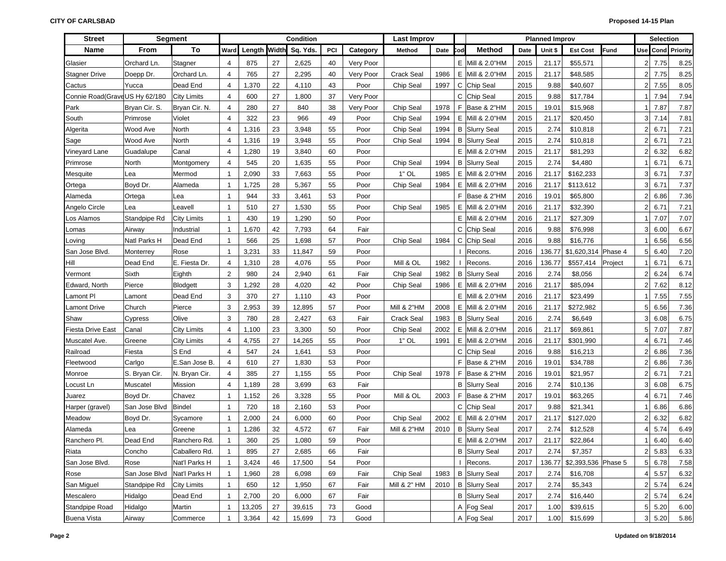| <b>Street</b>                 |               | <b>Segment</b>     |                |              |    | Condition |     |           | <b>Last Improv</b>     |      |     |                      |      | <b>Planned Improv</b> |                            |             |                | <b>Selection</b>    |                   |
|-------------------------------|---------------|--------------------|----------------|--------------|----|-----------|-----|-----------|------------------------|------|-----|----------------------|------|-----------------------|----------------------------|-------------|----------------|---------------------|-------------------|
| <b>Name</b>                   | From          | To                 | Ward           | Length Width |    | Sq. Yds.  | PCI | Category  | Method                 | Date | `od | <b>Method</b>        | Date | Unit \$               | <b>Est Cost</b>            | <b>Fund</b> |                |                     | Use Cond Priority |
| Glasier                       | Orchard Ln.   | Stagner            | 4              | 875          | 27 | 2,625     | 40  | Very Poor |                        |      | E.  | Mill & 2.0"HM        | 2015 | 21.17                 | \$55,571                   |             | $\overline{2}$ | 7.75                | 8.25              |
| <b>Stagner Drive</b>          | Doepp Dr.     | Orchard Ln.        | 4              | 765          | 27 | 2,295     | 40  | Very Poor | <b>Crack Seal</b>      | 1986 | Е   | Mill & 2.0"HM        | 2015 | 21.17                 | \$48,585                   |             | $\overline{2}$ | 7.75                | 8.25              |
| Cactus                        | Yucca         | Dead End           | 4              | 1,370        | 22 | 4,110     | 43  | Poor      | Chip Seal              | 1997 | С   | Chip Seal            | 2015 | 9.88                  | \$40,607                   |             | $\overline{2}$ | 7.55                | 8.05              |
| Connie Road(GraveUS Hy 62/180 |               | <b>City Limits</b> | 4              | 600          | 27 | 1,800     | 37  | Very Poor |                        |      | C   | Chip Seal            | 2015 | 9.88                  | \$17,784                   |             |                | 7.94                | 7.94              |
| Park                          | Bryan Cir. S. | Bryan Cir. N.      | 4              | 280          | 27 | 840       | 38  | Very Poor | Chip Seal              | 1978 | F.  | Base & 2"HM          | 2015 | 19.01                 | \$15,968                   |             |                | 7.87                | 7.87              |
| South                         | Primrose      | Violet             | 4              | 322          | 23 | 966       | 49  | Poor      | Chip Seal              | 1994 | Е   | Mill & 2.0"HM        | 2015 | 21.17                 | \$20,450                   |             | 3              | 7.14                | 7.81              |
| Algerita                      | Wood Ave      | North              | 4              | 1,316        | 23 | 3,948     | 55  | Poor      | Chip Seal              | 1994 |     | <b>B</b> Slurry Seal | 2015 | 2.74                  | \$10,818                   |             | $\overline{2}$ | 6.71                | 7.21              |
| Sage                          | Wood Ave      | North              | 4              | 1,316        | 19 | 3,948     | 55  | Poor      | Chip Seal              | 1994 | В   | <b>Slurry Seal</b>   | 2015 | 2.74                  | \$10,818                   |             | $\overline{2}$ | 6.71                | 7.21              |
| Vineyard Lane                 | Guadalupe     | Canal              | 4              | 1,280        | 19 | 3,840     | 60  | Poor      |                        |      | Е   | Mill & 2.0"HM        | 2015 | 21.17                 | \$81,293                   |             | $\overline{2}$ | 6.32                | 6.82              |
| Primrose                      | North         | Montgomery         | 4              | 545          | 20 | 1,635     | 55  | Poor      | Chip Seal              | 1994 |     | <b>B</b> Slurry Seal | 2015 | 2.74                  | \$4,480                    |             |                | 6.71                | 6.71              |
| Mesquite                      | Lea           | Mermod             | $\overline{1}$ | 2,090        | 33 | 7,663     | 55  | Poor      | $1"$ OL                | 1985 |     | E Mill & 2.0"HM      | 2016 | 21.17                 | \$162,233                  |             | 3 <sup>1</sup> | 6.71                | 7.37              |
| Ortega                        | Boyd Dr.      | Alameda            | $\overline{1}$ | 1,725        | 28 | 5,367     | 55  | Poor      | Chip Seal              | 1984 | Е   | Mill & 2.0"HM        | 2016 | 21.17                 | \$113,612                  |             | 3 <sup>1</sup> | 6.71                | 7.37              |
| Alameda                       | Ortega        | Lea                | $\mathbf{1}$   | 944          | 33 | 3,461     | 53  | Poor      |                        |      | F.  | Base & 2"HM          | 2016 | 19.01                 | \$65,800                   |             | $\overline{2}$ | 6.86                | 7.36              |
| Angelo Circle                 | Lea           | Leavell            | $\mathbf{1}$   | 510          | 27 | 1,530     | 55  | Poor      | Chip Seal              | 1985 |     | E   Mill & 2.0"HM    | 2016 | 21.17                 | \$32,390                   |             | $\overline{2}$ | 6.71                | 7.21              |
| Los Alamos                    | Standpipe Rd  | <b>City Limits</b> | $\mathbf{1}$   | 430          | 19 | 1,290     | 50  | Poor      |                        |      | E.  | Mill & 2.0"HM        | 2016 | 21.17                 | \$27,309                   |             |                | 7.07                | 7.07              |
| Lomas                         | Airway        | Industrial         | $\mathbf{1}$   | 1,670        | 42 | 7,793     | 64  | Fair      |                        |      |     | C Chip Seal          | 2016 | 9.88                  | \$76,998                   |             | 3              | 6.00                | 6.67              |
| Loving                        | Natl Parks H  | Dead End           | $\mathbf{1}$   | 566          | 25 | 1,698     | 57  | Poor      | Chip Seal              | 1984 |     | C Chip Seal          | 2016 | 9.88                  | \$16,776                   |             |                | 6.56                | 6.56              |
| San Jose Blvd.                | Monterrey     | Rose               | $\mathbf{1}$   | 3,231        | 33 | 11,847    | 59  | Poor      |                        |      |     | Recons.              | 2016 | 136.77                | \$1,620,314 Phase 4        |             | 5              | 6.40                | 7.20              |
| Hill                          | Dead End      | E. Fiesta Dr.      | $\overline{4}$ | 1,310        | 28 | 4,076     | 55  | Poor      | Mill & OL              | 1982 |     | Recons.              | 2016 | 136.77                | \$557,414                  | Project     |                | 6.71                | 6.71              |
| Vermont                       | Sixth         | Eighth             | $\overline{2}$ | 980          | 24 | 2,940     | 61  | Fair      | Chip Seal              | 1982 |     | <b>B</b> Slurry Seal | 2016 | 2.74                  | \$8,056                    |             | $\overline{2}$ | 6.24                | 6.74              |
| Edward, North                 | Pierce        | Blodgett           | 3              | 1,292        | 28 | 4,020     | 42  | Poor      | Chip Seal              | 1986 | Е.  | Mill & 2.0"HM        | 2016 | 21.17                 | \$85,094                   |             | $\overline{2}$ | 7.62                | 8.12              |
| Lamont PI                     | Lamont        | Dead End           | 3              | 370          | 27 | 1,110     | 43  | Poor      |                        |      |     | E Mill & 2.0"HM      | 2016 | 21.17                 | \$23,499                   |             |                | 7.55                | 7.55              |
| <b>Lamont Drive</b>           | Church        | Pierce             | 3              | 2,953        | 39 | 12,895    | 57  | Poor      | <b>Mill &amp; 2"HM</b> | 2008 | Е.  | Mill & 2.0"HM        | 2016 | 21.17                 | \$272,982                  |             | 5              | 6.56                | 7.36              |
| Shaw                          | Cypress       | Olive              | 3              | 780          | 28 | 2,427     | 63  | Fair      | <b>Crack Seal</b>      | 1983 |     | <b>B</b> Slurry Seal | 2016 | 2.74                  | \$6,649                    |             | 3              | 6.08                | 6.75              |
| <b>Fiesta Drive East</b>      | Canal         | <b>City Limits</b> | $\overline{4}$ | 1,100        | 23 | 3,300     | 50  | Poor      | Chip Seal              | 2002 |     | E Mill & 2.0"HM      | 2016 | 21.17                 | \$69,861                   |             | 5              | 7.07                | 7.87              |
| Muscatel Ave.                 | Greene        | <b>City Limits</b> | 4              | 4,755        | 27 | 14,265    | 55  | Poor      | $1"$ OL                | 1991 | Е   | Mill & 2.0"HM        | 2016 | 21.17                 | \$301,990                  |             | 4              | 6.71                | 7.46              |
| Railroad                      | Fiesta        | S End              | $\overline{4}$ | 547          | 24 | 1,641     | 53  | Poor      |                        |      | C   | Chip Seal            | 2016 | 9.88                  | \$16,213                   |             | $\overline{2}$ | 6.86                | 7.36              |
| Fleetwood                     | Carlgo        | E.San Jose B.      | $\overline{4}$ | 610          | 27 | 1,830     | 53  | Poor      |                        |      |     | F Base & 2"HM        | 2016 | 19.01                 | \$34,788                   |             | $\overline{2}$ | 6.86                | 7.36              |
| Monroe                        | S. Bryan Cir. | N. Bryan Cir.      | $\overline{4}$ | 385          | 27 | 1,155     | 55  | Poor      | Chip Seal              | 1978 | F.  | Base & 2"HM          | 2016 | 19.01                 | \$21,957                   |             | $\overline{2}$ | 6.71                | 7.21              |
| Locust Ln                     | Muscatel      | Mission            | $\overline{4}$ | 1,189        | 28 | 3,699     | 63  | Fair      |                        |      |     | <b>B</b> Slurry Seal | 2016 | 2.74                  | \$10,136                   |             | 3              | 6.08                | 6.75              |
| Juarez                        | Boyd Dr.      | Chavez             | $\mathbf{1}$   | 1,152        | 26 | 3,328     | 55  | Poor      | Mill & OL              | 2003 | F.  | Base & 2"HM          | 2017 | 19.01                 | \$63,265                   |             | $\overline{4}$ | 6.71                | 7.46              |
| Harper (gravel)               | San Jose Blvd | Bindel             | $\mathbf{1}$   | 720          | 18 | 2,160     | 53  | Poor      |                        |      |     | C Chip Seal          | 2017 | 9.88                  | \$21,341                   |             |                | 6.86                | 6.86              |
| Meadow                        | Boyd Dr.      | Sycamore           | $\overline{1}$ | 2,000        | 24 | 6,000     | 60  | Poor      | Chip Seal              | 2002 | Е   | Mill & 2.0"HM        | 2017 | 21.17                 | \$127,020                  |             | $\overline{2}$ | 6.32                | 6.82              |
| Alameda                       | Lea           | Greene             | $\mathbf{1}$   | 1,286        | 32 | 4,572     | 67  | Fair      | <b>Mill &amp; 2"HM</b> | 2010 | В   | <b>Slurry Seal</b>   | 2017 | 2.74                  | \$12,528                   |             | 4              | 5.74                | 6.49              |
| Ranchero Pl.                  | Dead End      | Ranchero Rd.       | $\mathbf{1}$   | 360          | 25 | 1,080     | 59  | Poor      |                        |      |     | E Mill & 2.0"HM      | 2017 | 21.17                 | \$22,864                   |             |                | 6.40                | 6.40              |
| Riata                         | Concho        | Caballero Rd.      | 1              | 895          | 27 | 2,685     | 66  | Fair      |                        |      |     | <b>B</b> Slurry Seal | 2017 | 2.74                  | \$7,357                    |             |                | $2 \, 5.83$         | 6.33              |
| San Jose Blvd.                | Rose          | Nat'l Parks H      | $\overline{1}$ | 3,424        | 46 | 17,500    | 54  | Poor      |                        |      |     | I Recons.            | 2017 |                       | 136.77 \$2,393,536 Phase 5 |             |                | 5 6.78              | 7.58              |
| Rose                          | San Jose Blvd | Nat'l Parks H      | $\overline{1}$ | 1,960        | 28 | 6,098     | 69  | Fair      | Chip Seal              | 1983 |     | <b>B</b> Slurry Seal | 2017 | 2.74                  | \$16,708                   |             |                | $4 \overline{5.57}$ | 6.32              |
| San Miguel                    | Standpipe Rd  | <b>City Limits</b> | $\mathbf{1}$   | 650          | 12 | 1,950     | 67  | Fair      | Mill & 2" HM           | 2010 |     | <b>B</b> Slurry Seal | 2017 | 2.74                  | \$5,343                    |             |                | 2 5.74              | 6.24              |
| Mescalero                     | Hidalgo       | Dead End           | 1              | 2,700        | 20 | 6,000     | 67  | Fair      |                        |      |     | <b>B</b> Slurry Seal | 2017 | 2.74                  | \$16,440                   |             |                | 2 5.74              | 6.24              |
| Standpipe Road                | Hidalgo       | Martin             | 1              | 13,205       | 27 | 39,615    | 73  | Good      |                        |      |     | A Fog Seal           | 2017 | 1.00                  | \$39,615                   |             |                | 5 5.20              | 6.00              |
| <b>Buena Vista</b>            | Airway        | Commerce           |                | 3,364        | 42 | 15,699    | 73  | Good      |                        |      |     | A Fog Seal           | 2017 | 1.00                  | \$15,699                   |             |                | $3 \mid 5.20$       | 5.86              |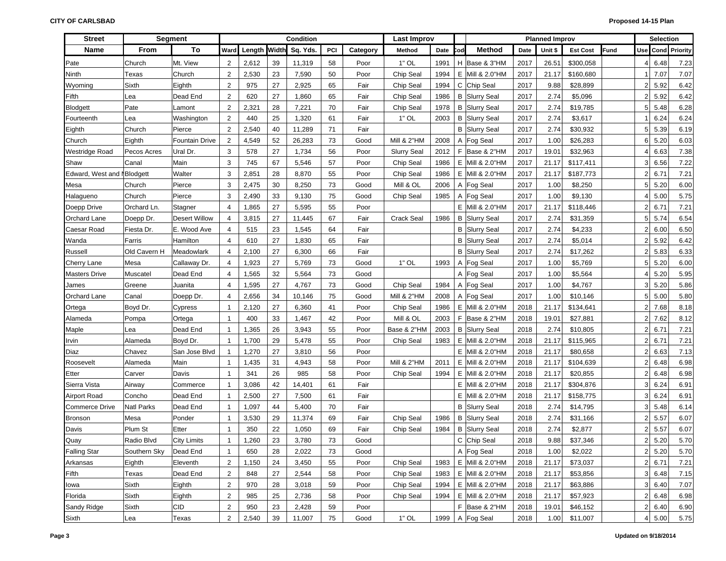| <b>Street</b>              |                   | <b>Segment</b>        |                |                     |        | Condition |     |          | Last Improv            |      |     |                      |      | <b>Planned Improv</b> |                 |             |                | <b>Selection</b>    |          |
|----------------------------|-------------------|-----------------------|----------------|---------------------|--------|-----------|-----|----------|------------------------|------|-----|----------------------|------|-----------------------|-----------------|-------------|----------------|---------------------|----------|
| <b>Name</b>                | <b>From</b>       | To                    | Ward           | <b>Length Width</b> |        | Sq. Yds.  | PCI | Category | Method                 | Date | `od | <b>Method</b>        | Date | Unit \$               | <b>Est Cost</b> | <b>Fund</b> |                | Use Cond            | Priority |
| Pate                       | Church            | Mt. View              | $\overline{2}$ | 2,612               | 39     | 11,319    | 58  | Poor     | $1"$ OL                | 1991 |     | H   Base & 3"HM      | 2017 | 26.51                 | \$300,058       |             | 4              | 6.48                | 7.23     |
| Ninth                      | Texas             | Church                | $\overline{2}$ | 2,530               | 23     | 7,590     | 50  | Poor     | Chip Seal              | 1994 | Е   | Mill & 2.0"HM        | 2017 | 21.17                 | \$160,680       |             |                | 7.07                | 7.07     |
| Wyoming                    | Sixth             | Eighth                | $\overline{2}$ | 975                 | 27     | 2,925     | 65  | Fair     | Chip Seal              | 1994 | C   | Chip Seal            | 2017 | 9.88                  | \$28,899        |             | $\overline{2}$ | 5.92                | 6.42     |
| Fifth                      | Lea               | Dead End              | $\overline{2}$ | 620                 | 27     | 1,860     | 65  | Fair     | Chip Seal              | 1986 |     | <b>B</b> Slurry Seal | 2017 | 2.74                  | \$5,096         |             | $\overline{2}$ | 5.92                | 6.42     |
| Blodgett                   | Pate              | Lamont                | $\overline{2}$ | 2,321               | 28     | 7,221     | 70  | Fair     | Chip Seal              | 1978 |     | <b>B</b> Slurry Seal | 2017 | 2.74                  | \$19,785        |             | 5              | 5.48                | 6.28     |
| Fourteenth                 | Lea               | Washington            | $\overline{c}$ | 440                 | 25     | 1,320     | 61  | Fair     | $1"$ OL                | 2003 | В   | <b>Slurry Seal</b>   | 2017 | 2.74                  | \$3,617         |             |                | 6.24                | 6.24     |
| Eighth                     | Church            | Pierce                | $\overline{2}$ | 2,540               | 40     | 11,289    | 71  | Fair     |                        |      |     | <b>B</b> Slurry Seal | 2017 | 2.74                  | \$30,932        |             | 5              | 5.39                | 6.19     |
| Church                     | Eighth            | <b>Fountain Drive</b> | $\overline{2}$ | 4,549               | 52     | 26,283    | 73  | Good     | <b>Mill &amp; 2"HM</b> | 2008 |     | A Fog Seal           | 2017 | 1.00                  | \$26,283        |             | 6 <sup>1</sup> | 5.20                | 6.03     |
| Westridge Road             | Pecos Acres       | Ural Dr.              | 3              | 578                 | 27     | 1,734     | 56  | Poor     | <b>Slurry Seal</b>     | 2012 | F.  | Base & 2"HM          | 2017 | 19.01                 | \$32,963        |             |                | 6.63                | 7.38     |
| Shaw                       | Canal             | Main                  | 3              | 745                 | 67     | 5,546     | 57  | Poor     | Chip Seal              | 1986 | Е   | Mill & 2.0"HM        | 2017 | 21.17                 | \$117,411       |             | 3              | 6.56                | 7.22     |
| Edward, West and NBlodgett |                   | Walter                | 3              | 2,851               | 28     | 8,870     | 55  | Poor     | Chip Seal              | 1986 |     | E   Mill & 2.0"HM    | 2017 | 21.17                 | \$187,773       |             | $\overline{2}$ | 6.71                | 7.21     |
| Mesa                       | Church            | Pierce                | 3              | 2,475               | 30     | 8,250     | 73  | Good     | Mill & OL              | 2006 |     | A Fog Seal           | 2017 | 1.00                  | \$8,250         |             | 5              | 5.20                | 6.00     |
| Halagueno                  | Church            | Pierce                | 3              | 2,490               | 33     | 9,130     | 75  | Good     | Chip Seal              | 1985 |     | A Fog Seal           | 2017 | 1.00                  | \$9,130         |             | 4              | 5.00                | 5.75     |
| Doepp Drive                | Orchard Ln.       | Stagner               | $\overline{4}$ | 1,865               | 27     | 5,595     | 55  | Poor     |                        |      |     | E Mill & 2.0"HM      | 2017 | 21.17                 | \$118,446       |             | $\overline{2}$ | 6.71                | 7.21     |
| Orchard Lane               | Doepp Dr.         | <b>Desert Willow</b>  | $\overline{4}$ | 3,815               | 27     | 11,445    | 67  | Fair     | <b>Crack Seal</b>      | 1986 |     | <b>B</b> Slurry Seal | 2017 | 2.74                  | \$31,359        |             | 5              | 5.74                | 6.54     |
| Caesar Road                | Fiesta Dr.        | E. Wood Ave           | $\overline{4}$ | 515                 | 23     | 1,545     | 64  | Fair     |                        |      |     | <b>B</b> Slurry Seal | 2017 | 2.74                  | \$4,233         |             | $\overline{2}$ | 6.00                | 6.50     |
| Wanda                      | Farris            | Hamilton              | $\overline{4}$ | 610                 | 27     | 1,830     | 65  | Fair     |                        |      |     | <b>B</b> Slurry Seal | 2017 | 2.74                  | \$5,014         |             | $\overline{2}$ | 5.92                | 6.42     |
| Russell                    | Old Cavern H      | Meadowlark            | $\overline{4}$ | 2,100               | 27     | 6,300     | 66  | Fair     |                        |      |     | <b>B</b> Slurry Seal | 2017 | 2.74                  | \$17,262        |             | $\overline{2}$ | 5.83                | 6.33     |
| Cherry Lane                | Mesa              | Callaway Dr.          | $\overline{4}$ | 1,923               | 27     | 5,769     | 73  | Good     | $1"$ OL                | 1993 |     | A Fog Seal           | 2017 | 1.00                  | \$5,769         |             | 5              | 5.20                | 6.00     |
| <b>Masters Drive</b>       | Muscatel          | Dead End              | 4              | 1,565               | 32     | 5,564     | 73  | Good     |                        |      |     | A Fog Seal           | 2017 | 1.00                  | \$5,564         |             | 4              | 5.20                | 5.95     |
| James                      | Greene            | Juanita               | $\overline{4}$ | 1,595               | 27     | 4,767     | 73  | Good     | Chip Seal              | 1984 |     | A Fog Seal           | 2017 | 1.00                  | \$4,767         |             | 3 <sup>1</sup> | 5.20                | 5.86     |
| Orchard Lane               | Canal             | Doepp Dr.             | $\overline{4}$ | 2,656               | 34     | 10,146    | 75  | Good     | <b>Mill &amp; 2"HM</b> | 2008 |     | A Fog Seal           | 2017 | 1.00                  | \$10,146        |             | 5 <sup>1</sup> | 5.00                | 5.80     |
| Ortega                     | Boyd Dr.          | Cypress               | $\mathbf{1}$   | 2,120               | 27     | 6,360     | 41  | Poor     | Chip Seal              | 1986 | Е.  | Mill & 2.0"HM        | 2018 | 21.17                 | \$134,641       |             | $\overline{2}$ | 7.68                | 8.18     |
| Alameda                    | Pompa             | Ortega                | $\mathbf{1}$   | 400                 | 33     | 1,467     | 42  | Poor     | Mill & OL              | 2003 | F.  | Base & 2"HM          | 2018 | 19.01                 | \$27,881        |             | $\overline{2}$ | 7.62                | 8.12     |
| Maple                      | Lea               | Dead End              | $\mathbf{1}$   | 1,365               | 26     | 3,943     | 55  | Poor     | Base & 2"HM            | 2003 |     | <b>B</b> Slurry Seal | 2018 | 2.74                  | \$10,805        |             | $\overline{2}$ | 6.71                | 7.21     |
| Irvin                      | Alameda           | Boyd Dr.              | $\overline{1}$ | 1,700               | 29     | 5,478     | 55  | Poor     | Chip Seal              | 1983 | Е.  | Mill & 2.0"HM        | 2018 | 21.17                 | \$115,965       |             | $\overline{2}$ | 6.71                | 7.21     |
| Diaz                       | Chavez            | San Jose Blvd         | $\overline{1}$ | 1,270               | 27     | 3,810     | 56  | Poor     |                        |      |     | E Mill & 2.0"HM      | 2018 | 21.17                 | \$80,658        |             | $\overline{2}$ | 6.63                | 7.13     |
| Roosevelt                  | Alameda           | Main                  | $\mathbf{1}$   | 1,435               | 31     | 4,943     | 58  | Poor     | <b>Mill &amp; 2"HM</b> | 2011 |     | E Mill & 2.0"HM      | 2018 | 21.17                 | \$104,639       |             | $\overline{2}$ | 6.48                | 6.98     |
| Etter                      | Carver            | Davis                 | $\mathbf{1}$   | 341                 | 26     | 985       | 58  | Poor     | Chip Seal              | 1994 | Е   | Mill & 2.0"HM        | 2018 | 21.17                 | \$20,855        |             | $\overline{2}$ | 6.48                | 6.98     |
| Sierra Vista               | Airway            | Commerce              | $\mathbf 1$    | 3,086               | 42     | 14,401    | 61  | Fair     |                        |      | Е   | Mill & 2.0"HM        | 2018 | 21.17                 | \$304,876       |             | 3 <sup>1</sup> | 6.24                | 6.91     |
| Airport Road               | Concho            | Dead End              | $\mathbf 1$    | 2,500               | 27     | 7,500     | 61  | Fair     |                        |      | Е   | Mill & 2.0"HM        | 2018 | 21.17                 | \$158,775       |             | 3              | 6.24                | 6.91     |
| <b>Commerce Drive</b>      | <b>Natl Parks</b> | Dead End              | $\overline{1}$ | 1,097               | 44     | 5,400     | 70  | Fair     |                        |      |     | <b>B</b> Slurry Seal | 2018 | 2.74                  | \$14,795        |             | 3              | 5.48                | 6.14     |
| <b>Bronson</b>             | Mesa              | Ponder                | $\overline{1}$ | 3,530               | 29     | 11,374    | 69  | Fair     | Chip Seal              | 1986 |     | <b>B</b> Slurry Seal | 2018 | 2.74                  | \$31,166        |             | $\overline{2}$ | 5.57                | 6.07     |
| Davis                      | Plum St           | Etter                 | $\overline{1}$ | 350                 | 22     | 1,050     | 69  | Fair     | Chip Seal              | 1984 | В   | <b>Slurry Seal</b>   | 2018 | 2.74                  | \$2,877         |             | $\overline{2}$ | 5.57                | 6.07     |
| Quay                       | Radio Blvd        | <b>City Limits</b>    | $\mathbf{1}$   | 1,260               | 23     | 3,780     | 73  | Good     |                        |      |     | C Chip Seal          | 2018 | 9.88                  | \$37,346        |             | $\overline{2}$ | 5.20                | 5.70     |
| <b>Falling Star</b>        | Southern Sky      | Dead End              | 1              | 650                 | 28     | 2,022     | 73  | Good     |                        |      |     | A Fog Seal           | 2018 | 1.00                  | \$2,022         |             |                | $2 \overline{5.20}$ | 5.70     |
| Arkansas                   | Eighth            | Eleventh              | $\overline{2}$ | 1,150               | 24     | 3,450     | 55  | Poor     | Chip Seal              | 1983 |     | E Mill & 2.0"HM      | 2018 | 21.17                 | \$73,037        |             |                | 2 6.71              | 7.21     |
| Fifth                      | Texas             | Dead End              | $\overline{c}$ | 848                 | $27\,$ | 2,544     | 58  | Poor     | Chip Seal              | 1983 |     | $E$ Mill & 2.0"HM    | 2018 | 21.17                 | \$53,856        |             |                | 3   6.48            | 7.15     |
| lowa                       | Sixth             | Eighth                | $\overline{c}$ | 970                 | 28     | 3,018     | 59  | Poor     | Chip Seal              | 1994 |     | E Mill & 2.0"HM      | 2018 | 21.17                 | \$63,886        |             |                | 3   6.40            | 7.07     |
| Florida                    | Sixth             | Eighth                | $\overline{c}$ | 985                 | 25     | 2,736     | 58  | Poor     | Chip Seal              | 1994 |     | E Mill & 2.0"HM      | 2018 | 21.17                 | \$57,923        |             |                | 2   6.48            | 6.98     |
| Sandy Ridge                | Sixth             | CID                   | $\overline{c}$ | 950                 | 23     | 2,428     | 59  | Poor     |                        |      |     | $F$ Base & 2"HM      | 2018 | 19.01                 | \$46,152        |             |                | 2 6.40              | 6.90     |
| Sixth                      | Lea               | Texas                 | $\overline{2}$ | 2,540               | 39     | 11,007    | 75  | Good     | $1"$ OL                | 1999 |     | A Fog Seal           | 2018 | 1.00                  | \$11,007        |             |                | 4 5.00              | 5.75     |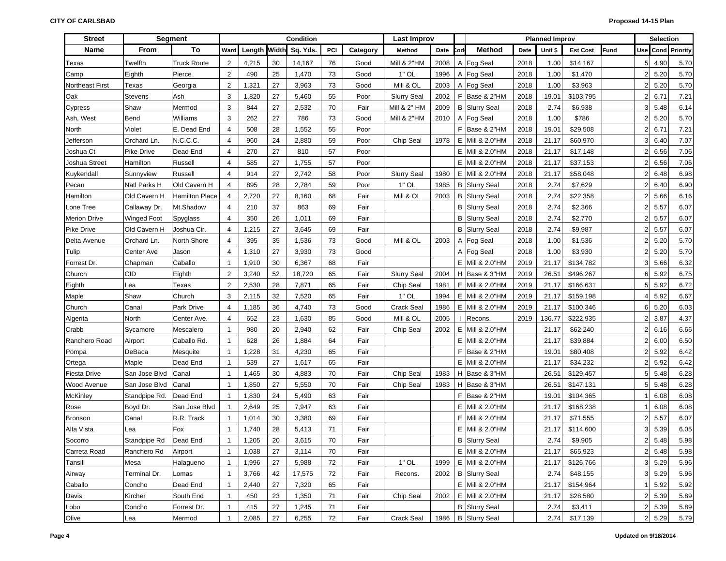| <b>Street</b>       |                   | <b>Segment</b>        |                |        |       | <b>Condition</b> |      |          | <b>Last Improv</b> |      |     |                      |      | <b>Planned Improv</b> |                 |      |                | <b>Selection</b> |                          |
|---------------------|-------------------|-----------------------|----------------|--------|-------|------------------|------|----------|--------------------|------|-----|----------------------|------|-----------------------|-----------------|------|----------------|------------------|--------------------------|
| Name                | From              | To                    | Ward           | Length | Width | Sq. Yds.         | PCI  | Category | Method             | Date | `od | <b>Method</b>        | Date | Unit \$               | <b>Est Cost</b> | Fund |                |                  | <b>Use Cond Priority</b> |
| Texas               | Twelfth           | <b>Truck Route</b>    | $\overline{2}$ | 4,215  | 30    | 14,167           | 76   | Good     | Mill & 2"HM        | 2008 |     | A Fog Seal           | 2018 | 1.00                  | \$14,167        |      | 5 <sub>5</sub> | 4.90             | 5.70                     |
| Camp                | Eighth            | Pierce                | $\overline{2}$ | 490    | 25    | 1,470            | 73   | Good     | $1"$ OL            | 1996 |     | A Fog Seal           | 2018 | 1.00                  | \$1,470         |      | 2              | 5.20             | 5.70                     |
| Northeast First     | Texas             | Georgia               | $\overline{2}$ | 1,321  | 27    | 3,963            | 73   | Good     | Mill & OL          | 2003 |     | A Fog Seal           | 2018 | 1.00                  | \$3,963         |      | 2              | 5.20             | 5.70                     |
| Oak                 | <b>Stevens</b>    | Ash                   | 3              | 1,820  | 27    | 5,460            | 55   | Poor     | <b>Slurry Seal</b> | 2002 |     | F Base & 2"HM        | 2018 | 19.01                 | \$103,795       |      | 2              | 6.71             | 7.21                     |
| Cypress             | Shaw              | Mermod                | 3              | 844    | 27    | 2,532            | 70   | Fair     | Mill & 2" HM       | 2009 |     | <b>B</b> Slurry Seal | 2018 | 2.74                  | \$6,938         |      | 3              | 5.48             | 6.14                     |
| Ash, West           | Bend              | Williams              | 3              | 262    | 27    | 786              | 73   | Good     | Mill & 2"HM        | 2010 |     | A Fog Seal           | 2018 | 1.00                  | \$786           |      | 2              | 5.20             | 5.70                     |
| North               | Violet            | E. Dead End           | $\overline{4}$ | 508    | 28    | 1,552            | 55   | Poor     |                    |      |     | F Base & 2"HM        | 2018 | 19.01                 | \$29,508        |      | 2              | 6.71             | 7.21                     |
| Jefferson           | Orchard Ln.       | N.C.C.C.              | $\overline{4}$ | 960    | 24    | 2,880            | 59   | Poor     | Chip Seal          | 1978 | E.  | Mill & 2.0"HM        | 2018 | 21.17                 | \$60,970        |      | 3              | 6.40             | 7.07                     |
| Joshua Ct           | <b>Pike Drive</b> | Dead End              | $\overline{4}$ | 270    | 27    | 810              | 57   | Poor     |                    |      |     | E Mill & 2.0"HM      | 2018 | 21.17                 | \$17,148        |      | $\overline{2}$ | 6.56             | 7.06                     |
| Joshua Street       | Hamilton          | Russell               | $\overline{4}$ | 585    | 27    | 1,755            | 57   | Poor     |                    |      |     | E Mill & 2.0"HM      | 2018 | 21.17                 | \$37,153        |      | $\overline{2}$ | 6.56             | 7.06                     |
| Kuykendall          | Sunnyview         | Russell               | $\overline{4}$ | 914    | 27    | 2,742            | 58   | Poor     | <b>Slurry Seal</b> | 1980 |     | E Mill & 2.0"HM      | 2018 | 21.17                 | \$58,048        |      | $\overline{2}$ | 6.48             | 6.98                     |
| Pecan               | Natl Parks H      | Old Cavern H          | $\overline{4}$ | 895    | 28    | 2,784            | 59   | Poor     | $1"$ OL            | 1985 |     | <b>B</b> Slurry Seal | 2018 | 2.74                  | \$7,629         |      | $\overline{2}$ | 6.40             | 6.90                     |
| Hamilton            | Old Cavern H      | <b>Hamilton Place</b> | $\overline{4}$ | 2,720  | 27    | 8,160            | 68   | Fair     | Mill & OL          | 2003 |     | <b>B</b> Slurry Seal | 2018 | 2.74                  | \$22,358        |      | $\overline{2}$ | 5.66             | 6.16                     |
| Lone Tree           | Callaway Dr.      | Mt.Shadow             | $\overline{4}$ | 210    | 37    | 863              | 69   | Fair     |                    |      |     | <b>B</b> Slurry Seal | 2018 | 2.74                  | \$2,366         |      | 2              | 5.57             | 6.07                     |
| <b>Merion Drive</b> | Winged Foot       | Spyglass              | $\overline{4}$ | 350    | 26    | 1,011            | 69   | Fair     |                    |      |     | <b>B</b> Slurry Seal | 2018 | 2.74                  | \$2,770         |      | 2              | 5.57             | 6.07                     |
| Pike Drive          | Old Cavern H      | Joshua Cir.           | $\overline{4}$ | 1,215  | 27    | 3,645            | 69   | Fair     |                    |      |     | <b>B</b> Slurry Seal | 2018 | 2.74                  | \$9,987         |      | 2              | 5.57             | 6.07                     |
| Delta Avenue        | Orchard Ln.       | North Shore           | $\overline{4}$ | 395    | 35    | 1,536            | 73   | Good     | Mill & OL          | 2003 |     | A Fog Seal           | 2018 | 1.00                  | \$1,536         |      | $\overline{2}$ | 5.20             | 5.70                     |
| Tulip               | Center Ave        | Jason                 | $\overline{4}$ | 1,310  | 27    | 3,930            | 73   | Good     |                    |      |     | A Fog Seal           | 2018 | 1.00                  | \$3,930         |      | $\overline{2}$ | 5.20             | 5.70                     |
| Forrest Dr.         | Chapman           | Caballo               | $\mathbf{1}$   | 1,910  | 30    | 6,367            | 68   | Fair     |                    |      |     | E Mill & 2.0"HM      | 2019 | 21.17                 | \$134,782       |      | 3              | 5.66             | 6.32                     |
| Church              | CID               | Eighth                | $\overline{2}$ | 3,240  | 52    | 18,720           | 65   | Fair     | <b>Slurry Seal</b> | 2004 |     | H Base & 3"HM        | 2019 | 26.51                 | \$496,267       |      | 6              | 5.92             | 6.75                     |
| Eighth              | Lea               | Texas                 | $\overline{2}$ | 2,530  | 28    | 7,871            | 65   | Fair     | Chip Seal          | 1981 |     | E Mill & 2.0"HM      | 2019 | 21.17                 | \$166,631       |      | 5 <sub>5</sub> | 5.92             | 6.72                     |
| Maple               | Shaw              | Church                | 3              | 2,115  | 32    | 7,520            | 65   | Fair     | $1"$ OL            | 1994 |     | E Mill & 2.0"HM      | 2019 | 21.17                 | \$159,198       |      | 4              | 5.92             | 6.67                     |
| Church              | Canal             | Park Drive            | $\overline{4}$ | 1,185  | 36    | 4,740            | 73   | Good     | <b>Crack Seal</b>  | 1986 |     | E   Mill & 2.0"HM    | 2019 | 21.17                 | \$100,346       |      | 6              | 5.20             | 6.03                     |
| Algerita            | North             | Center Ave.           | $\overline{4}$ | 652    | 23    | 1,630            | 85   | Good     | Mill & OL          | 2005 |     | Recons.              | 2019 | 136.77                | \$222,935       |      | 2              | 3.87             | 4.37                     |
| Crabb               | Sycamore          | Mescalero             | $\mathbf 1$    | 980    | 20    | 2,940            | 62   | Fair     | Chip Seal          | 2002 | E   | Mill & 2.0"HM        |      | 21.17                 | \$62,240        |      | $\overline{2}$ | 6.16             | 6.66                     |
| Ranchero Road       | Airport           | Caballo Rd.           | $\mathbf{1}$   | 628    | 26    | 1,884            | 64   | Fair     |                    |      | Е   | Mill & 2.0"HM        |      | 21.17                 | \$39,884        |      | $\overline{2}$ | 6.00             | 6.50                     |
| Pompa               | DeBaca            | Mesquite              | $\mathbf{1}$   | 1,228  | 31    | 4,230            | 65   | Fair     |                    |      | F.  | Base & 2"HM          |      | 19.01                 | \$80,408        |      | $\overline{2}$ | 5.92             | 6.42                     |
| Ortega              | Maple             | Dead End              | $\mathbf{1}$   | 539    | 27    | 1,617            | 65   | Fair     |                    |      |     | E Mill & 2.0"HM      |      | 21.17                 | \$34,232        |      | $\overline{2}$ | 5.92             | 6.42                     |
| Fiesta Drive        | San Jose Blvd     | Canal                 | $\overline{1}$ | 1,465  | 30    | 4,883            | 70   | Fair     | Chip Seal          | 1983 |     | H   Base & 3"HM      |      | 26.51                 | \$129,457       |      | 5 <sup>1</sup> | 5.48             | 6.28                     |
| Wood Avenue         | San Jose Blvd     | Canal                 | $\overline{1}$ | 1,850  | 27    | 5,550            | 70   | Fair     | Chip Seal          | 1983 | H   | Base & 3"HM          |      | 26.51                 | \$147,131       |      | 5 <sub>5</sub> | 5.48             | 6.28                     |
| <b>McKinley</b>     | Standpipe Rd.     | Dead End              | $\overline{1}$ | 1,830  | 24    | 5,490            | 63   | Fair     |                    |      | F.  | Base & 2"HM          |      | 19.01                 | \$104,365       |      |                | 6.08             | 6.08                     |
| Rose                | Boyd Dr.          | San Jose Blvd         | $\mathbf{1}$   | 2,649  | 25    | 7,947            | 63   | Fair     |                    |      | E.  | Mill & 2.0"HM        |      | 21.17                 | \$168,238       |      | -1             | 6.08             | 6.08                     |
| Bronson             | Canal             | R.R. Track            | -1             | 1,014  | 30    | 3,380            | 69   | Fair     |                    |      | Е   | Mill & 2.0"HM        |      | 21.17                 | \$71,555        |      | $\overline{2}$ | 5.57             | 6.07                     |
| Alta Vista          | Lea               | Fox                   | $\mathbf{1}$   | 1,740  | 28    | 5,413            | 71   | Fair     |                    |      | Е   | Mill & 2.0"HM        |      | 21.17                 | \$114,600       |      | 3              | 5.39             | 6.05                     |
| Socorro             | Standpipe Rd      | Dead End              | $\mathbf{1}$   | 1,205  | 20    | 3,615            | 70   | Fair     |                    |      |     | <b>B</b> Slurry Seal |      | 2.74                  | \$9,905         |      | $\overline{2}$ | 5.48             | 5.98                     |
| Carreta Road        | Ranchero Rd       | Airport               | $\mathbf{1}$   | 1,038  | 27    | 3,114            | 70   | Fair     |                    |      |     | E Mill & 2.0"HM      |      | 21.17                 | \$65,923        |      |                | $2 \mid 5.48$    | 5.98                     |
| Tansill             | Mesa              | Halagueno             | $\mathbf{1}$   | 1,996  | 27    | 5,988            | 72   | Fair     | $1"$ OL            | 1999 |     | E Mill & 2.0"HM      |      | 21.17                 | \$126,766       |      |                | 3 5.29           | 5.96                     |
| Airway              | Terminal Dr.      | Lomas                 | $\mathbf{1}$   | 3,766  | 42    | 17,575           | 72   | Fair     | Recons.            | 2002 |     | <b>B</b> Slurry Seal |      | 2.74                  | \$48,155        |      |                | 3 5.29           | 5.96                     |
| Caballo             | Concho            | Dead End              | $\mathbf{1}$   | 2,440  | 27    | 7,320            | 65   | Fair     |                    |      |     | E Mill & 2.0"HM      |      | 21.17                 | \$154,964       |      |                | $1 \ 5.92$       | 5.92                     |
| Davis               | Kircher           | South End             | $\mathbf{1}$   | 450    | 23    | 1,350            | 71   | Fair     | Chip Seal          | 2002 |     | E Mill & 2.0"HM      |      | 21.17                 | \$28,580        |      |                | 2 5.39           | 5.89                     |
| Lobo                | Concho            | Forrest Dr.           | $\mathbf{1}$   | 415    | 27    | 1,245            | $71$ | Fair     |                    |      |     | <b>B</b> Slurry Seal |      | 2.74                  | \$3,411         |      |                | 2 5.39           | 5.89                     |
| Olive               | Lea               | Mermod                | $\mathbf{1}$   | 2,085  | 27    | 6,255            | 72   | Fair     | Crack Seal         |      |     | 1986   B Slurry Seal |      | 2.74                  | \$17,139        |      |                | 2 5.29           | 5.79                     |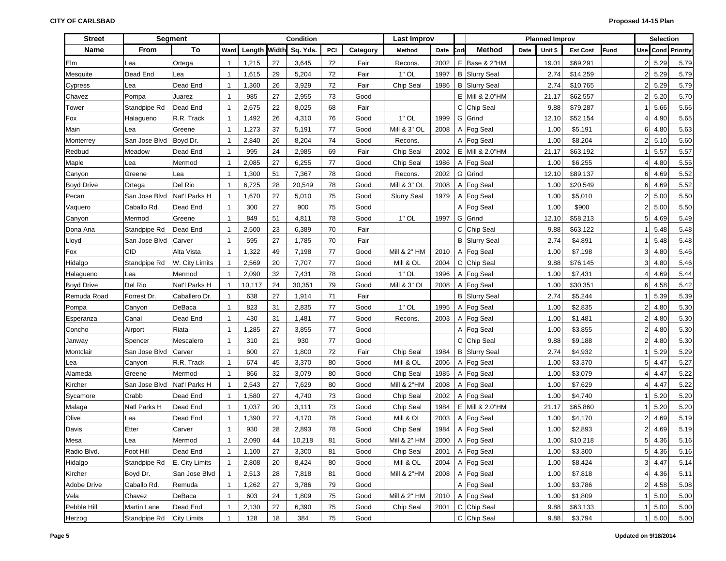| <b>Street</b>     |               | <b>Segment</b>     |                |        |    | Condition             |     |          | <b>Last Improv</b>     |      |     |                      |      | <b>Planned Improv</b> |                 |      |                | Selection |                      |
|-------------------|---------------|--------------------|----------------|--------|----|-----------------------|-----|----------|------------------------|------|-----|----------------------|------|-----------------------|-----------------|------|----------------|-----------|----------------------|
| Name              | From          | To                 | Ward           |        |    | Length Width Sq. Yds. | PCI | Category | Method                 | Date | Cod | <b>Method</b>        | Date | Unit \$               | <b>Est Cost</b> | Fund | Use            |           | <b>Cond Priority</b> |
| Elm               | Lea           | Ortega             | $\overline{1}$ | 1,215  | 27 | 3,645                 | 72  | Fair     | Recons.                | 2002 | F.  | Base & 2"HM          |      | 19.01                 | \$69,291        |      |                | 5.29      | 5.79                 |
| Mesquite          | Dead End      | Lea                | $\overline{1}$ | 1,615  | 29 | 5,204                 | 72  | Fair     | $1"$ OL                | 1997 |     | <b>B</b> Slurry Seal |      | 2.74                  | \$14,259        |      | 2              | 5.29      | 5.79                 |
| Cypress           | Lea           | Dead End           | $\overline{1}$ | 1,360  | 26 | 3,929                 | 72  | Fair     | Chip Seal              | 1986 |     | <b>B</b> Slurry Seal |      | 2.74                  | \$10,765        |      | 2              | 5.29      | 5.79                 |
| Chavez            | Pompa         | Juarez             | $\mathbf 1$    | 985    | 27 | 2,955                 | 73  | Good     |                        |      |     | E   Mill & 2.0"HM    |      | 21.17                 | \$62,557        |      | 2              | 5.20      | 5.70                 |
| Tower             | Standpipe Rd  | Dead End           | $\overline{1}$ | 2,675  | 22 | 8,025                 | 68  | Fair     |                        |      |     | C Chip Seal          |      | 9.88                  | \$79,287        |      |                | 5.66      | 5.66                 |
| Fox               | Halagueno     | R.R. Track         | $\overline{1}$ | 1,492  | 26 | 4,310                 | 76  | Good     | $1"$ OL                | 1999 |     | G Grind              |      | 12.10                 | \$52,154        |      |                | 4.90      | 5.65                 |
| Main              | Lea           | Greene             | $\overline{1}$ | 1,273  | 37 | 5,191                 | 77  | Good     | Mill & 3" OL           | 2008 |     | A Fog Seal           |      | 1.00                  | \$5,191         |      |                | 4.80      | 5.63                 |
| Monterrey         | San Jose Blvd | Boyd Dr.           | $\overline{1}$ | 2,840  | 26 | 8,204                 | 74  | Good     | Recons.                |      |     | A Fog Seal           |      | 1.00                  | \$8,204         |      |                | 5.10      | 5.60                 |
| Redbud            | Meadow        | Dead End           | $\overline{1}$ | 995    | 24 | 2,985                 | 69  | Fair     | Chip Seal              | 2002 |     | E Mill & 2.0"HM      |      | 21.17                 | \$63,192        |      |                | 5.57      | 5.57                 |
| Maple             | Lea           | Mermod             | $\overline{1}$ | 2,085  | 27 | 6,255                 | 77  | Good     | Chip Seal              | 1986 |     | A Fog Seal           |      | 1.00                  | \$6,255         |      |                | 4.80      | 5.55                 |
| Canyon            | Greene        | Lea                | $\overline{1}$ | 1,300  | 51 | 7,367                 | 78  | Good     | Recons.                | 2002 |     | G Grind              |      | 12.10                 | \$89,137        |      |                | 4.69      | 5.52                 |
| <b>Boyd Drive</b> | Ortega        | Del Rio            | $\overline{1}$ | 6,725  | 28 | 20,549                | 78  | Good     | Mill & 3" OL           | 2008 |     | A Fog Seal           |      | 1.00                  | \$20,549        |      |                | 4.69      | 5.52                 |
| Pecan             | San Jose Blvd | Nat'l Parks H      | $\mathbf{1}$   | 1,670  | 27 | 5,010                 | 75  | Good     | <b>Slurry Seal</b>     | 1979 |     | A Fog Seal           |      | 1.00                  | \$5,010         |      |                | 5.00      | 5.50                 |
| Vaquero           | Caballo Rd.   | Dead End           | $\mathbf{1}$   | 300    | 27 | 900                   | 75  | Good     |                        |      |     | A Fog Seal           |      | 1.00                  | \$900           |      | 2              | 5.00      | 5.50                 |
| Canyon            | Mermod        | Greene             | $\mathbf{1}$   | 849    | 51 | 4,811                 | 78  | Good     | $1"$ OL                | 1997 |     | G Grind              |      | 12.10                 | \$58,213        |      |                | 4.69      | 5.49                 |
| Dona Ana          | Standpipe Rd  | Dead End           | $\overline{1}$ | 2,500  | 23 | 6,389                 | 70  | Fair     |                        |      |     | C Chip Seal          |      | 9.88                  | \$63,122        |      |                | 5.48      | 5.48                 |
| Lloyd             | San Jose Blvd | Carver             | $\mathbf{1}$   | 595    | 27 | 1,785                 | 70  | Fair     |                        |      |     | <b>B</b> Slurry Seal |      | 2.74                  | \$4,891         |      |                | 5.48      | 5.48                 |
| Fox               | <b>CID</b>    | Alta Vista         | $\mathbf{1}$   | 1,322  | 49 | 7,198                 | 77  | Good     | Mill & 2" HM           | 2010 |     | A Fog Seal           |      | 1.00                  | \$7,198         |      | 3              | 4.80      | 5.46                 |
| Hidalgo           | Standpipe Rd  | W. City Limits     | $\overline{1}$ | 2,569  | 20 | 7,707                 | 77  | Good     | Mill & OL              | 2004 |     | C Chip Seal          |      | 9.88                  | \$76,145        |      | 3              | 4.80      | 5.46                 |
| Halagueno         | Lea           | Mermod             | $\overline{1}$ | 2,090  | 32 | 7,431                 | 78  | Good     | $1"$ OL                | 1996 |     | A Fog Seal           |      | 1.00                  | \$7,431         |      |                | 4.69      | 5.44                 |
| <b>Boyd Drive</b> | Del Rio       | Nat'l Parks H      | $\mathbf{1}$   | 10,117 | 24 | 30,351                | 79  | Good     | Mill & 3" OL           | 2008 |     | A Fog Seal           |      | 1.00                  | \$30,351        |      |                | 4.58      | 5.42                 |
| Remuda Road       | Forrest Dr.   | Caballero Dr.      | $\mathbf{1}$   | 638    | 27 | 1,914                 | 71  | Fair     |                        |      |     | <b>B</b> Slurry Seal |      | 2.74                  | \$5,244         |      |                | 5.39      | 5.39                 |
| Pompa             | Canyon        | DeBaca             | $\mathbf{1}$   | 823    | 31 | 2,835                 | 77  | Good     | $1"$ OL                | 1995 |     | A Fog Seal           |      | 1.00                  | \$2,835         |      |                | 4.80      | 5.30                 |
| Esperanza         | Canal         | Dead End           | $\mathbf{1}$   | 430    | 31 | 1,481                 | 77  | Good     | Recons.                | 2003 |     | A Fog Seal           |      | 1.00                  | \$1,481         |      |                | 4.80      | 5.30                 |
| Concho            | Airport       | Riata              | $\overline{1}$ | 1,285  | 27 | 3,855                 | 77  | Good     |                        |      |     | A Fog Seal           |      | 1.00                  | \$3,855         |      |                | 4.80      | 5.30                 |
| Janway            | Spencer       | Mescalero          | $\overline{1}$ | 310    | 21 | 930                   | 77  | Good     |                        |      |     | C Chip Seal          |      | 9.88                  | \$9,188         |      |                | 4.80      | 5.30                 |
| Montclair         | San Jose Blvd | Carver             | $\overline{1}$ | 600    | 27 | 1,800                 | 72  | Fair     | Chip Seal              | 1984 |     | <b>B</b> Slurry Seal |      | 2.74                  | \$4,932         |      |                | 5.29      | 5.29                 |
| Lea               | Canyon        | R.R. Track         | $\overline{1}$ | 674    | 45 | 3,370                 | 80  | Good     | Mill & OL              | 2006 |     | A   Fog Seal         |      | 1.00                  | \$3,370         |      | 5              | 4.47      | 5.27                 |
| Alameda           | Greene        | Mermod             | $\overline{1}$ | 866    | 32 | 3,079                 | 80  | Good     | Chip Seal              | 1985 |     | A Fog Seal           |      | 1.00                  | \$3,079         |      |                | 4.47      | 5.22                 |
| Kircher           | San Jose Blvd | Nat'l Parks H      | $\overline{1}$ | 2,543  | 27 | 7,629                 | 80  | Good     | <b>Mill &amp; 2"HM</b> | 2008 |     | A Fog Seal           |      | 1.00                  | \$7,629         |      |                | 4.47      | 5.22                 |
| Sycamore          | Crabb         | Dead End           | $\overline{1}$ | 1,580  | 27 | 4,740                 | 73  | Good     | Chip Seal              | 2002 |     | A Fog Seal           |      | 1.00                  | \$4,740         |      |                | 5.20      | 5.20                 |
| Malaga            | Natl Parks H  | Dead End           | $\overline{1}$ | 1,037  | 20 | 3,111                 | 73  | Good     | Chip Seal              | 1984 |     | E Mill & 2.0"HM      |      | 21.17                 | \$65,860        |      |                | 5.20      | 5.20                 |
| Olive             | Lea           | Dead End           | $\overline{1}$ | 1,390  | 27 | 4,170                 | 78  | Good     | Mill & OL              | 2003 |     | A Fog Seal           |      | 1.00                  | \$4,170         |      | $\overline{2}$ | 4.69      | 5.19                 |
| Davis             | Etter         | Carver             | $\overline{1}$ | 930    | 28 | 2,893                 | 78  | Good     | Chip Seal              | 1984 |     | A Fog Seal           |      | 1.00                  | \$2,893         |      |                | 4.69      | 5.19                 |
| Mesa              | Lea           | Mermod             | $\mathbf{1}$   | 2,090  | 44 | 10,218                | 81  | Good     | Mill & 2" HM           | 2000 |     | A Fog Seal           |      | 1.00                  | \$10,218        |      | 5              | 4.36      | 5.16                 |
| Radio Blvd.       | Foot Hill     | Dead End           | $\mathbf{1}$   | 1,100  | 27 | 3,300                 | 81  | Good     | Chip Seal              | 2001 |     | A Fog Seal           |      | 1.00                  | \$3,300         |      |                | 5 4.36    | 5.16                 |
| Hidalgo           | Standpipe Rd  | E. City Limits     | $\overline{1}$ | 2,808  | 20 | 8,424                 | 80  | Good     | Mill & OL              | 2004 |     | A Fog Seal           |      | 1.00                  | \$8,424         |      |                | 3 4.47    | 5.14                 |
| Kircher           | Boyd Dr.      | San Jose Blvd      | $\overline{1}$ | 2,513  | 28 | 7,818                 | 81  | Good     | Mill & 2"HM            | 2008 |     | A Fog Seal           |      | 1.00                  | \$7,818         |      |                | 4 4.36    | 5.11                 |
| Adobe Drive       | Caballo Rd.   | Remuda             | $\mathbf{1}$   | 1,262  | 27 | 3,786                 | 79  | Good     |                        |      |     | A Fog Seal           |      | 1.00                  | \$3,786         |      |                | 2 4.58    | 5.08                 |
| Vela              | Chavez        | DeBaca             | $\mathbf{1}$   | 603    | 24 | 1,809                 | 75  | Good     | Mill & 2" HM           | 2010 |     | A Fog Seal           |      | 1.00                  | \$1,809         |      |                | 5.00      | 5.00                 |
| Pebble Hill       | Martin Lane   | Dead End           | $\overline{1}$ | 2,130  | 27 | 6,390                 | 75  | Good     | Chip Seal              | 2001 |     | C Chip Seal          |      | 9.88                  | \$63,133        |      |                | 5.00      | 5.00                 |
| Herzog            | Standpipe Rd  | <b>City Limits</b> | $\mathbf 1$    | 128    | 18 | 384                   | 75  | Good     |                        |      |     | C Chip Seal          |      | 9.88                  | \$3,794         |      |                | 5.00      | 5.00                 |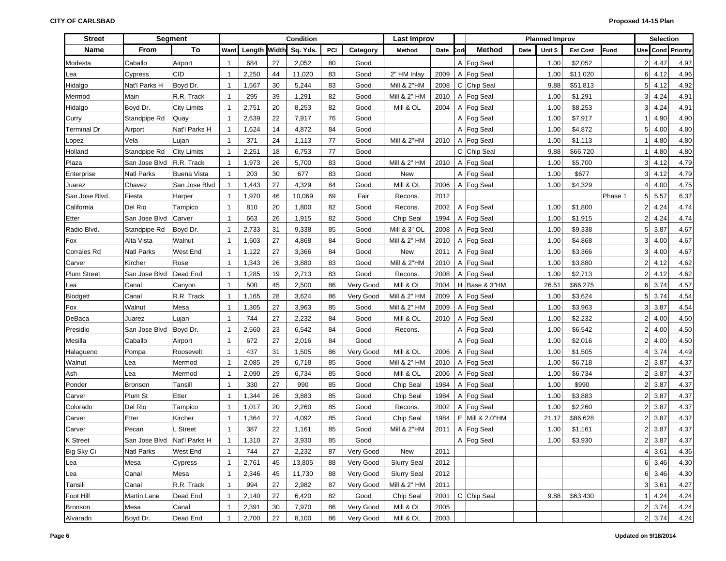| <b>Street</b>      |                    | <b>Segment</b>     |                |              |    | Condition |     |           | <b>Last Improv</b>     |      |     |                 |      | <b>Planned Improv</b> |                 |             |                | <b>Selection</b>     |          |
|--------------------|--------------------|--------------------|----------------|--------------|----|-----------|-----|-----------|------------------------|------|-----|-----------------|------|-----------------------|-----------------|-------------|----------------|----------------------|----------|
| Name               | From               | To                 | Ward           | Length Width |    | Sq. Yds.  | PCI | Category  | Method                 | Date | `od | Method          | Date | Unit \$               | <b>Est Cost</b> | <b>Fund</b> |                | Use Cond             | Priority |
| Modesta            | Caballo            | Airport            | $\mathbf{1}$   | 684          | 27 | 2,052     | 80  | Good      |                        |      |     | A Fog Seal      |      | 1.00                  | \$2,052         |             | 2 <sub>1</sub> | 4.47                 | 4.97     |
| Lea                | Cypress            | <b>CID</b>         | $\mathbf 1$    | 2,250        | 44 | 11,020    | 83  | Good      | 2" HM Inlay            | 2009 |     | A Fog Seal      |      | 1.00                  | \$11,020        |             | 6              | 4.12                 | 4.96     |
| Hidalgo            | Nat'l Parks H      | Boyd Dr.           | 1              | 1,567        | 30 | 5,244     | 83  | Good      | <b>Mill &amp; 2"HM</b> | 2008 |     | C Chip Seal     |      | 9.88                  | \$51,813        |             | 5              | 4.12                 | 4.92     |
| Mermod             | Main               | R.R. Track         | $\mathbf 1$    | 295          | 39 | 1,291     | 82  | Good      | Mill & 2" HM           | 2010 |     | A Fog Seal      |      | 1.00                  | \$1,291         |             | 3 <sup>1</sup> | 4.24                 | 4.91     |
| Hidalgo            | Boyd Dr.           | <b>City Limits</b> | $\overline{1}$ | 2,751        | 20 | 8,253     | 82  | Good      | Mill & OL              | 2004 |     | A Fog Seal      |      | 1.00                  | \$8,253         |             | 3              | 4.24                 | 4.91     |
| Curry              | Standpipe Rd       | Quay               | $\overline{1}$ | 2,639        | 22 | 7,917     | 76  | Good      |                        |      |     | A Fog Seal      |      | 1.00                  | \$7,917         |             |                | 4.90                 | 4.90     |
| Terminal Dr        | Airport            | Nat'l Parks H      | $\mathbf{1}$   | 1,624        | 14 | 4,872     | 84  | Good      |                        |      |     | A Fog Seal      |      | 1.00                  | \$4,872         |             | 5              | 4.00                 | 4.80     |
| Lopez              | Vela               | Lujan              | 1              | 371          | 24 | 1,113     | 77  | Good      | <b>Mill &amp; 2"HM</b> | 2010 |     | A Fog Seal      |      | 1.00                  | \$1,113         |             |                | 4.80                 | 4.80     |
| Holland            | Standpipe Rd       | <b>City Limits</b> | $\mathbf{1}$   | 2,251        | 18 | 6,753     | 77  | Good      |                        |      |     | C Chip Seal     |      | 9.88                  | \$66,720        |             |                | 4.80                 | 4.80     |
| Plaza              | San Jose Blvd      | R.R. Track         | $\mathbf{1}$   | 1,973        | 26 | 5,700     | 83  | Good      | Mill & 2" HM           | 2010 |     | A Fog Seal      |      | 1.00                  | \$5,700         |             | 3              | 4.12                 | 4.79     |
| Enterprise         | <b>Natl Parks</b>  | <b>Buena Vista</b> | 1              | 203          | 30 | 677       | 83  | Good      | <b>New</b>             |      |     | A Fog Seal      |      | 1.00                  | \$677           |             | 3 <sup>1</sup> | 4.12                 | 4.79     |
| Juarez             | Chavez             | San Jose Blvd      | $\overline{1}$ | 1,443        | 27 | 4,329     | 84  | Good      | Mill & OL              | 2006 |     | A Fog Seal      |      | 1.00                  | \$4,329         |             | 4              | 4.00                 | 4.75     |
| San Jose Blvd.     | Fiesta             | Harper             | $\mathbf{1}$   | 1,970        | 46 | 10,069    | 69  | Fair      | Recons.                | 2012 |     |                 |      |                       |                 | Phase 1     | 5              | 5.57                 | 6.37     |
| California         | Del Rio            | Tampico            | 1              | 810          | 20 | 1,800     | 82  | Good      | Recons.                | 2002 |     | A Fog Seal      |      | 1.00                  | \$1,800         |             | $\overline{2}$ | 4.24                 | 4.74     |
| Etter              | San Jose Blvd      | Carver             | $\mathbf 1$    | 663          | 26 | 1,915     | 82  | Good      | Chip Seal              | 1994 |     | A Fog Seal      |      | 1.00                  | \$1,915         |             | $\overline{2}$ | 4.24                 | 4.74     |
| Radio Blvd.        | Standpipe Rd       | Boyd Dr.           | $\overline{1}$ | 2,733        | 31 | 9,338     | 85  | Good      | Mill & 3" OL           | 2008 |     | A Fog Seal      |      | 1.00                  | \$9,338         |             | 5 <sup>1</sup> | 3.87                 | 4.67     |
| Fox                | Alta Vista         | Walnut             | $\overline{1}$ | 1,603        | 27 | 4,868     | 84  | Good      | Mill & 2" HM           | 2010 |     | A Fog Seal      |      | 1.00                  | \$4,868         |             | 3 <sup>1</sup> | 4.00                 | 4.67     |
| Corrales Rd        | <b>Natl Parks</b>  | West End           | $\mathbf{1}$   | 1,122        | 27 | 3,366     | 84  | Good      | <b>New</b>             | 2011 |     | A Fog Seal      |      | 1.00                  | \$3,366         |             | 3 <sup>1</sup> | 4.00                 | 4.67     |
| Carver             | Kircher            | Rose               | $\overline{1}$ | 1,343        | 26 | 3,880     | 83  | Good      | <b>Mill &amp; 2"HM</b> | 2010 |     | A Fog Seal      |      | 1.00                  | \$3,880         |             | $\overline{2}$ | 4.12                 | 4.62     |
| <b>Plum Street</b> | San Jose Blvd      | Dead End           | $\mathbf{1}$   | 1,285        | 19 | 2,713     | 83  | Good      | Recons.                | 2008 |     | A Fog Seal      |      | 1.00                  | \$2,713         |             | $\overline{2}$ | 4.12                 | 4.62     |
| Lea                | Canal              | Canyon             | $\mathbf{1}$   | 500          | 45 | 2,500     | 86  | Very Good | Mill & OL              | 2004 |     | H Base & 3"HM   |      | 26.51                 | \$66,275        |             | 6              | 3.74                 | 4.57     |
| Blodgett           | Canal              | R.R. Track         | $\mathbf{1}$   | 1,165        | 28 | 3,624     | 86  | Very Good | Mill & 2" HM           | 2009 |     | A Fog Seal      |      | 1.00                  | \$3,624         |             | 5              | 3.74                 | 4.54     |
| Fox                | Walnut             | Mesa               | $\mathbf{1}$   | 1,305        | 27 | 3,963     | 85  | Good      | Mill & 2" HM           | 2009 |     | A Fog Seal      |      | 1.00                  | \$3,963         |             | 3              | 3.87                 | 4.54     |
| DeBaca             | Juarez             | Lujan              | $\mathbf{1}$   | 744          | 27 | 2,232     | 84  | Good      | Mill & OL              | 2010 |     | A Fog Seal      |      | 1.00                  | \$2,232         |             | $\overline{2}$ | 4.00                 | 4.50     |
| Presidio           | San Jose Blvd      | Boyd Dr.           | $\mathbf{1}$   | 2,560        | 23 | 6,542     | 84  | Good      | Recons.                |      |     | A Fog Seal      |      | 1.00                  | \$6,542         |             | $\overline{2}$ | 4.00                 | 4.50     |
| Mesilla            | Caballo            | Airport            | $\mathbf{1}$   | 672          | 27 | 2,016     | 84  | Good      |                        |      |     | A Fog Seal      |      | 1.00                  | \$2,016         |             | $\overline{2}$ | 4.00                 | 4.50     |
| Halagueno          | Pompa              | Roosevelt          | $\mathbf{1}$   | 437          | 31 | 1,505     | 86  | Very Good | Mill & OL              | 2006 |     | A Fog Seal      |      | 1.00                  | \$1,505         |             | 4              | 3.74                 | 4.49     |
| Walnut             | Lea                | Mermod             | $\mathbf{1}$   | 2,085        | 29 | 6,718     | 85  | Good      | Mill & 2" HM           | 2010 |     | A Fog Seal      |      | 1.00                  | \$6,718         |             | $\overline{2}$ | 3.87                 | 4.37     |
| Ash                | Lea                | Mermod             | $\mathbf{1}$   | 2,090        | 29 | 6,734     | 85  | Good      | Mill & OL              | 2006 |     | A Fog Seal      |      | 1.00                  | \$6,734         |             | $\overline{2}$ | 3.87                 | 4.37     |
| Ponder             | <b>Bronson</b>     | Tansill            | $\mathbf{1}$   | 330          | 27 | 990       | 85  | Good      | Chip Seal              | 1984 |     | A Fog Seal      |      | 1.00                  | \$990           |             | $\overline{2}$ | 3.87                 | 4.37     |
| Carver             | Plum St            | Etter              | $\overline{1}$ | 1,344        | 26 | 3,883     | 85  | Good      | Chip Seal              | 1984 |     | A Fog Seal      |      | 1.00                  | \$3,883         |             | $\overline{2}$ | 3.87                 | 4.37     |
| Colorado           | Del Rio            | Tampico            | $\mathbf{1}$   | 1,017        | 20 | 2,260     | 85  | Good      | Recons.                | 2002 |     | A Fog Seal      |      | 1.00                  | \$2,260         |             | $\overline{2}$ | 3.87                 | 4.37     |
| Carver             | Etter              | Kircher            | $\mathbf{1}$   | 1,364        | 27 | 4,092     | 85  | Good      | Chip Seal              | 1984 |     | E Mill & 2.0"HM |      | 21.17                 | \$86,628        |             | $\overline{2}$ | 3.87                 | 4.37     |
| Carver             | Pecan              | . Street           | $\mathbf{1}$   | 387          | 22 | 1,161     | 85  | Good      | <b>Mill &amp; 2"HM</b> | 2011 | A   | Fog Seal        |      | 1.00                  | \$1,161         |             | $\overline{2}$ | 3.87                 | 4.37     |
| <b>K</b> Street    | San Jose Blvd      | Nat'l Parks H      | $\mathbf{1}$   | 1,310        | 27 | 3,930     | 85  | Good      |                        |      |     | A Fog Seal      |      | 1.00                  | \$3,930         |             | $\overline{2}$ | 3.87                 | 4.37     |
| Big Sky Ci         | <b>Natl Parks</b>  | West End           | $\mathbf{1}$   | 744          | 27 | 2,232     | 87  | Very Good | New                    | 2011 |     |                 |      |                       |                 |             |                | $4 \overline{)3.61}$ | 4.36     |
| Lea                | Mesa               | Cypress            | $\mathbf{1}$   | 2,761        | 45 | 13,805    | 88  | Very Good | <b>Slurry Seal</b>     | 2012 |     |                 |      |                       |                 |             |                | 6 3.46               | 4.30     |
| Lea                | Canal              | Mesa               | $\mathbf{1}$   | 2,346        | 45 | 11,730    | 88  | Very Good | <b>Slurry Seal</b>     | 2012 |     |                 |      |                       |                 |             |                | 6 3.46               | 4.30     |
| Tansill            | Canal              | R.R. Track         | $\mathbf{1}$   | 994          | 27 | 2,982     | 87  | Very Good | Mill & 2" HM           | 2011 |     |                 |      |                       |                 |             |                | 3 3.61               | 4.27     |
| Foot Hill          | <b>Martin Lane</b> | Dead End           | $\mathbf 1$    | 2,140        | 27 | 6,420     | 82  | Good      | Chip Seal              | 2001 |     | C Chip Seal     |      | 9.88                  | \$63,430        |             |                | 4.24                 | 4.24     |
| <b>Bronson</b>     | Mesa               | Canal              | $\mathbf{1}$   | 2,391        | 30 | 7,970     | 86  | Very Good | Mill & OL              | 2005 |     |                 |      |                       |                 |             |                | 2 3.74               | 4.24     |
| Alvarado           | Boyd Dr.           | Dead End           | $\mathbf{1}$   | 2,700        | 27 | 8,100     | 86  | Very Good | Mill & OL              | 2003 |     |                 |      |                       |                 |             |                | $2 \overline{)3.74}$ | 4.24     |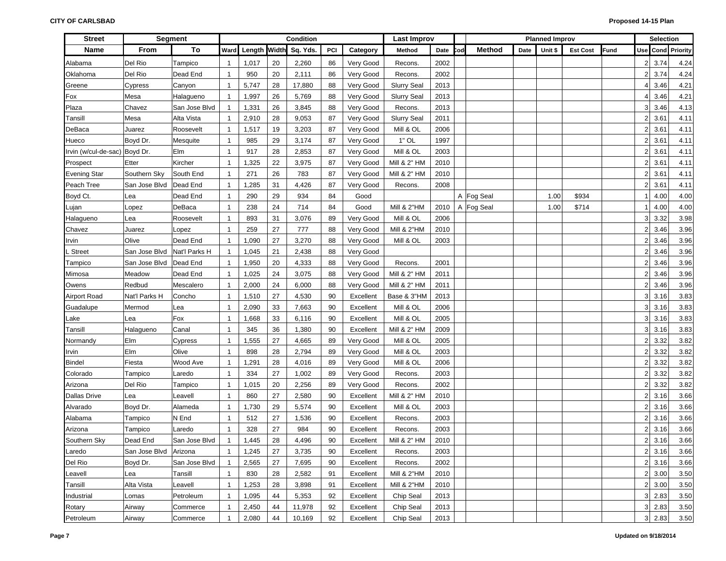| <b>Street</b>                 |                       | <b>Segment</b> |                |              |    | Condition |     |           | <b>Last Improv</b>     |      |     |               |      | <b>Planned Improv</b> |                 |             |                | <b>Selection</b> |                   |
|-------------------------------|-----------------------|----------------|----------------|--------------|----|-----------|-----|-----------|------------------------|------|-----|---------------|------|-----------------------|-----------------|-------------|----------------|------------------|-------------------|
| <b>Name</b>                   | From                  | To             | Ward           | Length Width |    | Sq. Yds.  | PCI | Category  | Method                 | Date | :od | <b>Method</b> | Date | Unit \$               | <b>Est Cost</b> | <b>Fund</b> |                |                  | Use Cond Priority |
| Alabama                       | Del Rio               | Tampico        | $\mathbf{1}$   | 1,017        | 20 | 2,260     | 86  | Very Good | Recons.                | 2002 |     |               |      |                       |                 |             |                | 2 3.74           | 4.24              |
| Oklahoma                      | Del Rio               | Dead End       | $\mathbf 1$    | 950          | 20 | 2,111     | 86  | Very Good | Recons.                | 2002 |     |               |      |                       |                 |             | 2 <sup>1</sup> | 3.74             | 4.24              |
| Greene                        | Cypress               | Canyon         | $\mathbf 1$    | 5,747        | 28 | 17,880    | 88  | Very Good | <b>Slurry Seal</b>     | 2013 |     |               |      |                       |                 |             | 4              | 3.46             | 4.21              |
| Fox                           | Mesa                  | Halagueno      | $\mathbf{1}$   | 1,997        | 26 | 5,769     | 88  | Very Good | <b>Slurry Seal</b>     | 2013 |     |               |      |                       |                 |             | 4              | 3.46             | 4.21              |
| Plaza                         | Chavez                | San Jose Blvd  | $\overline{1}$ | 1,331        | 26 | 3,845     | 88  | Very Good | Recons.                | 2013 |     |               |      |                       |                 |             | 31             | 3.46             | 4.13              |
| Tansill                       | Mesa                  | Alta Vista     | $\mathbf{1}$   | 2,910        | 28 | 9,053     | 87  | Very Good | <b>Slurry Seal</b>     | 2011 |     |               |      |                       |                 |             | 2 <sub>1</sub> | 3.61             | 4.11              |
| DeBaca                        | Juarez                | Roosevelt      | $\mathbf{1}$   | 1,517        | 19 | 3,203     | 87  | Very Good | Mill & OL              | 2006 |     |               |      |                       |                 |             | 2 <sub>1</sub> | 3.61             | 4.11              |
| Hueco                         | Boyd Dr.              | Mesquite       | $\mathbf{1}$   | 985          | 29 | 3,174     | 87  | Very Good | $1"$ OL                | 1997 |     |               |      |                       |                 |             | 2 <sub>1</sub> | 3.61             | 4.11              |
| Irvin (w/cul-de-sac) Boyd Dr. |                       | Elm            | $\overline{1}$ | 917          | 28 | 2,853     | 87  | Very Good | Mill & OL              | 2003 |     |               |      |                       |                 |             | 2 <sub>1</sub> | 3.61             | 4.11              |
| Prospect                      | Etter                 | Kircher        | $\mathbf{1}$   | 1,325        | 22 | 3,975     | 87  | Very Good | Mill & 2" HM           | 2010 |     |               |      |                       |                 |             | 2 <sub>1</sub> | 3.61             | 4.11              |
| <b>Evening Star</b>           | Southern Sky          | South End      | $\mathbf{1}$   | 271          | 26 | 783       | 87  | Very Good | Mill & 2" HM           | 2010 |     |               |      |                       |                 |             | $\overline{2}$ | 3.61             | 4.11              |
| Peach Tree                    | San Jose Blvd         | Dead End       | $\mathbf{1}$   | 1,285        | 31 | 4,426     | 87  | Very Good | Recons.                | 2008 |     |               |      |                       |                 |             | 2 <sub>1</sub> | 3.61             | 4.11              |
| Boyd Ct.                      | Lea                   | Dead End       | $\mathbf{1}$   | 290          | 29 | 934       | 84  | Good      |                        |      |     | A Fog Seal    |      | 1.00                  | \$934           |             |                | 4.00             | 4.00              |
| Lujan                         | Lopez                 | DeBaca         | $\mathbf{1}$   | 238          | 24 | 714       | 84  | Good      | <b>Mill &amp; 2"HM</b> | 2010 |     | A Fog Seal    |      | 1.00                  | \$714           |             |                | 4.00             | 4.00              |
| Halagueno                     | Lea                   | Roosevelt      | $\mathbf{1}$   | 893          | 31 | 3,076     | 89  | Very Good | Mill & OL              | 2006 |     |               |      |                       |                 |             | 3 <sup>1</sup> | 3.32             | 3.98              |
| Chavez                        | Juarez                | Lopez          | $\mathbf{1}$   | 259          | 27 | 777       | 88  | Very Good | Mill & 2"HM            | 2010 |     |               |      |                       |                 |             | 21             | 3.46             | 3.96              |
| Irvin                         | Olive                 | Dead End       | $\mathbf{1}$   | 1,090        | 27 | 3,270     | 88  | Very Good | Mill & OL              | 2003 |     |               |      |                       |                 |             | 21             | 3.46             | 3.96              |
| Street                        | San Jose Blvd         | Nat'l Parks H  | $\mathbf{1}$   | 1,045        | 21 | 2,438     | 88  | Very Good |                        |      |     |               |      |                       |                 |             | 21             | 3.46             | 3.96              |
| Tampico                       | San Jose Blvd         | Dead End       | $\mathbf{1}$   | 1,950        | 20 | 4,333     | 88  | Very Good | Recons.                | 2001 |     |               |      |                       |                 |             | 21             | 3.46             | 3.96              |
| Mimosa                        | Meadow                | Dead End       | $\mathbf{1}$   | 1,025        | 24 | 3,075     | 88  | Very Good | Mill & 2" HM           | 2011 |     |               |      |                       |                 |             | 21             | 3.46             | 3.96              |
| Owens                         | Redbud                | Mescalero      | $\mathbf{1}$   | 2,000        | 24 | 6,000     | 88  | Very Good | Mill & 2" HM           | 2011 |     |               |      |                       |                 |             | 2 <sub>1</sub> | 3.46             | 3.96              |
| <b>Airport Road</b>           | Nat'l Parks H         | Concho         | $\overline{1}$ | 1,510        | 27 | 4,530     | 90  | Excellent | Base & 3"HM            | 2013 |     |               |      |                       |                 |             | 3 <sup>1</sup> | 3.16             | 3.83              |
| Guadalupe                     | Mermod                | Lea            | $\overline{1}$ | 2,090        | 33 | 7,663     | 90  | Excellent | Mill & OL              | 2006 |     |               |      |                       |                 |             | 3 <sup>1</sup> | 3.16             | 3.83              |
| Lake                          | Lea                   | Fox            | $\mathbf{1}$   | 1,668        | 33 | 6,116     | 90  | Excellent | Mill & OL              | 2005 |     |               |      |                       |                 |             | 3 <sup>1</sup> | 3.16             | 3.83              |
| Tansill                       | Halagueno             | Canal          | $\mathbf{1}$   | 345          | 36 | 1,380     | 90  | Excellent | Mill & 2" HM           | 2009 |     |               |      |                       |                 |             | 3 <sup>1</sup> | 3.16             | 3.83              |
| Normandy                      | Elm                   | Cypress        | $\mathbf{1}$   | 1,555        | 27 | 4,665     | 89  | Very Good | Mill & OL              | 2005 |     |               |      |                       |                 |             | $\overline{2}$ | 3.32             | 3.82              |
| Irvin                         | Elm                   | Olive          | $\overline{1}$ | 898          | 28 | 2,794     | 89  | Very Good | Mill & OL              | 2003 |     |               |      |                       |                 |             | 2 <sub>1</sub> | 3.32             | 3.82              |
| Bindel                        | Fiesta                | Wood Ave       | $\mathbf{1}$   | 1,291        | 28 | 4,016     | 89  | Very Good | Mill & OL              | 2006 |     |               |      |                       |                 |             | 2 <sub>1</sub> | 3.32             | 3.82              |
| Colorado                      | Tampico               | Laredo         | $\mathbf{1}$   | 334          | 27 | 1,002     | 89  | Very Good | Recons                 | 2003 |     |               |      |                       |                 |             | 2 <sub>1</sub> | 3.32             | 3.82              |
| Arizona                       | Del Rio               | Tampico        | $\mathbf{1}$   | 1,015        | 20 | 2,256     | 89  | Very Good | Recons                 | 2002 |     |               |      |                       |                 |             | 2 <sub>1</sub> | 3.32             | 3.82              |
| <b>Dallas Drive</b>           | Lea                   | Leavell        | $\mathbf{1}$   | 860          | 27 | 2,580     | 90  | Excellent | Mill & 2" HM           | 2010 |     |               |      |                       |                 |             | 2 <sub>1</sub> | 3.16             | 3.66              |
| Alvarado                      | Boyd Dr.              | Alameda        | $\mathbf{1}$   | 1,730        | 29 | 5,574     | 90  | Excellent | Mill & OL              | 2003 |     |               |      |                       |                 |             |                | $2 \mid 3.16$    | 3.66              |
| Alabama                       | Tampico               | N End          | $\mathbf{1}$   | 512          | 27 | 1,536     | 90  | Excellent | Recons.                | 2003 |     |               |      |                       |                 |             |                | $2 \mid 3.16$    | 3.66              |
| Arizona                       | Tampico               | Laredo         | $\overline{1}$ | 328          | 27 | 984       | 90  | Excellent | Recons.                | 2003 |     |               |      |                       |                 |             | 2 <sub>1</sub> | 3.16             | 3.66              |
| Southern Sky                  | Dead End              | San Jose Blvd  | $\mathbf{1}$   | 1,445        | 28 | 4,496     | 90  | Excellent | Mill & 2" HM           | 2010 |     |               |      |                       |                 |             |                | $2 \mid 3.16$    | 3.66              |
| Laredo                        | San Jose Blvd Arizona |                | $\mathbf{1}$   | 1,245        | 27 | 3,735     | 90  | Excellent | Recons.                | 2003 |     |               |      |                       |                 |             |                | $2 \mid 3.16$    | 3.66              |
| Del Rio                       | Boyd Dr.              | San Jose Blvd  | $\overline{1}$ | 2,565        | 27 | 7,695     | 90  | Excellent | Recons.                | 2002 |     |               |      |                       |                 |             |                | $2 \mid 3.16$    | 3.66              |
| Leavell                       | Lea                   | Tansill        | $\mathbf{1}$   | 830          | 28 | 2,582     | 91  | Excellent | <b>Mill &amp; 2"HM</b> | 2010 |     |               |      |                       |                 |             |                | 2 3.00           | 3.50              |
| Tansill                       | Alta Vista            | Leavell        | $\mathbf{1}$   | 1,253        | 28 | 3,898     | 91  | Excellent | Mill & 2"HM            | 2010 |     |               |      |                       |                 |             |                | $2 \mid 3.00$    | 3.50              |
| Industrial                    | Lomas                 | Petroleum      | $\mathbf{1}$   | 1,095        | 44 | 5,353     | 92  | Excellent | Chip Seal              | 2013 |     |               |      |                       |                 |             |                | $3 \mid 2.83$    | 3.50              |
| Rotary                        | Airway                | Commerce       | $\mathbf{1}$   | 2,450        | 44 | 11,978    | 92  | Excellent | Chip Seal              | 2013 |     |               |      |                       |                 |             |                | $3 \mid 2.83$    | 3.50              |
| Petroleum                     | Airway                | Commerce       | -1             | 2,080        | 44 | 10,169    | 92  | Excellent | Chip Seal              | 2013 |     |               |      |                       |                 |             |                | $3 \quad 2.83$   | 3.50              |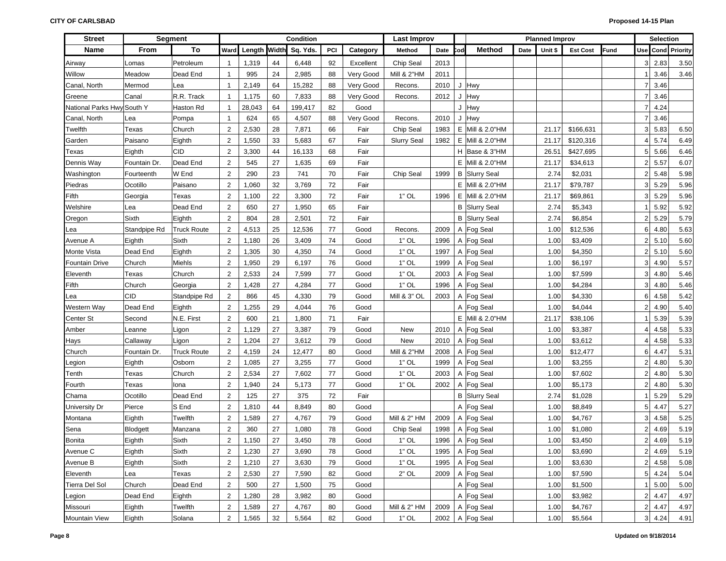| <b>Street</b>              |              | <b>Segment</b>     |                |              |    | Condition |     |           | <b>Last Improv</b>     |      |            |                      |      | <b>Planned Improv</b> |                 |             |                | Selection     |                      |
|----------------------------|--------------|--------------------|----------------|--------------|----|-----------|-----|-----------|------------------------|------|------------|----------------------|------|-----------------------|-----------------|-------------|----------------|---------------|----------------------|
| <b>Name</b>                | From         | To                 | Ward           | Length Width |    | Sq. Yds.  | PCI | Category  | Method                 | Date | <b>Cod</b> | <b>Method</b>        | Date | Unit \$               | <b>Est Cost</b> | <b>Fund</b> | Use            |               | <b>Cond</b> Priority |
| Airway                     | Lomas        | Petroleum          | -1             | 1,319        | 44 | 6,448     | 92  | Excellent | Chip Seal              | 2013 |            |                      |      |                       |                 |             |                | 2.83          | 3.50                 |
| Willow                     | Meadow       | Dead End           | $\mathbf{1}$   | 995          | 24 | 2,985     | 88  | Very Good | <b>Mill &amp; 2"HM</b> | 2011 |            |                      |      |                       |                 |             |                | 3.46          | 3.46                 |
| Canal, North               | Mermod       | Lea                | $\mathbf{1}$   | 2,149        | 64 | 15,282    | 88  | Very Good | Recons.                | 2010 |            | J Hwy                |      |                       |                 |             |                | 3.46          |                      |
| Greene                     | Canal        | R.R. Track         | $\mathbf{1}$   | 1,175        | 60 | 7,833     | 88  | Very Good | Recons.                | 2012 |            | J Hwy                |      |                       |                 |             |                | 3.46          |                      |
| National Parks Hwy South Y |              | Haston Rd          | $\mathbf{1}$   | 28,043       | 64 | 199,417   | 82  | Good      |                        |      |            | J Hwy                |      |                       |                 |             |                | 4.24          |                      |
| Canal, North               | Lea          | Pompa              | $\mathbf{1}$   | 624          | 65 | 4,507     | 88  | Very Good | Recons.                | 2010 |            | J Hwy                |      |                       |                 |             |                | 3.46          |                      |
| Twelfth                    | Texas        | Church             | $\overline{2}$ | 2,530        | 28 | 7,871     | 66  | Fair      | Chip Seal              | 1983 |            | E   Mill & 2.0"HM    |      | 21.17                 | \$166,631       |             | 3              | 5.83          | 6.50                 |
| Garden                     | Paisano      | Eighth             | $\overline{2}$ | 1,550        | 33 | 5,683     | 67  | Fair      | <b>Slurry Seal</b>     | 1982 |            | E Mill & 2.0"HM      |      | 21.17                 | \$120,316       |             |                | 5.74          | 6.49                 |
| Texas                      | Eighth       | <b>CID</b>         | $\overline{2}$ | 3,300        | 44 | 16,133    | 68  | Fair      |                        |      |            | H Base & 3"HM        |      | 26.51                 | \$427,695       |             | 5              | 5.66          | 6.46                 |
| Dennis Way                 | Fountain Dr. | Dead End           | $\overline{2}$ | 545          | 27 | 1,635     | 69  | Fair      |                        |      |            | E   Mill & 2.0"HM    |      | 21.17                 | \$34,613        |             |                | 5.57          | 6.07                 |
| Washington                 | Fourteenth   | W End              | $\overline{2}$ | 290          | 23 | 741       | 70  | Fair      | Chip Seal              | 1999 |            | <b>B</b> Slurry Seal |      | 2.74                  | \$2,031         |             |                | 5.48          | 5.98                 |
| Piedras                    | Ocotillo     | Paisano            | $\overline{2}$ | 1,060        | 32 | 3,769     | 72  | Fair      |                        |      |            | E   Mill & 2.0"HM    |      | 21.17                 | \$79,787        |             |                | 5.29          | 5.96                 |
| Fifth                      | Georgia      | Texas              | $\overline{2}$ | 1,100        | 22 | 3,300     | 72  | Fair      | $1"$ OL                | 1996 |            | E   Mill & 2.0"HM    |      | 21.17                 | \$69,861        |             |                | 5.29          | 5.96                 |
| Welshire                   | Lea          | Dead End           | $\overline{2}$ | 650          | 27 | 1,950     | 65  | Fair      |                        |      |            | <b>B</b> Slurry Seal |      | 2.74                  | \$5,343         |             |                | 5.92          | 5.92                 |
| Oregon                     | Sixth        | Eighth             | 2              | 804          | 28 | 2,501     | 72  | Fair      |                        |      |            | <b>B</b> Slurry Seal |      | 2.74                  | \$6,854         |             | 2              | 5.29          | 5.79                 |
| Lea                        | Standpipe Rd | <b>Truck Route</b> | $\overline{2}$ | 4,513        | 25 | 12,536    | 77  | Good      | Recons.                | 2009 |            | A Fog Seal           |      | 1.00                  | \$12,536        |             | 6              | 4.80          | 5.63                 |
| Avenue A                   | Eighth       | Sixth              | $\overline{2}$ | 1,180        | 26 | 3,409     | 74  | Good      | $1"$ OL                | 1996 |            | A Fog Seal           |      | 1.00                  | \$3,409         |             | 2              | 5.10          | 5.60                 |
| Monte Vista                | Dead End     | Eighth             | $\overline{2}$ | 1,305        | 30 | 4,350     | 74  | Good      | $1"$ OL                | 1997 |            | A Fog Seal           |      | 1.00                  | \$4,350         |             | $\overline{2}$ | 5.10          | 5.60                 |
| <b>Fountain Drive</b>      | Church       | Miehls             | $\overline{2}$ | 1,950        | 29 | 6,197     | 76  | Good      | $1"$ OL                | 1999 |            | A Fog Seal           |      | 1.00                  | \$6,197         |             | 3              | 4.90          | 5.57                 |
| Eleventh                   | Texas        | Church             | $\overline{2}$ | 2,533        | 24 | 7,599     | 77  | Good      | $1"$ OL                | 2003 |            | A Fog Seal           |      | 1.00                  | \$7,599         |             | 3              | 4.80          | 5.46                 |
| Fifth                      | Church       | Georgia            | $\overline{2}$ | 1,428        | 27 | 4,284     | 77  | Good      | $1"$ OL                | 1996 |            | A Fog Seal           |      | 1.00                  | \$4,284         |             |                | 4.80          | 5.46                 |
| Lea                        | <b>CID</b>   | Standpipe Rd       | $\overline{2}$ | 866          | 45 | 4,330     | 79  | Good      | Mill & 3" OL           | 2003 |            | A Fog Seal           |      | 1.00                  | \$4,330         |             | 6              | 4.58          | 5.42                 |
| Western Way                | Dead End     | Eighth             | $\overline{2}$ | 1,255        | 29 | 4,044     | 76  | Good      |                        |      |            | A Fog Seal           |      | 1.00                  | \$4,044         |             |                | 4.90          | 5.40                 |
| Center St                  | Second       | N.E. First         | 2              | 600          | 21 | 1,800     | 71  | Fair      |                        |      |            | E   Mill & 2.0"HM    |      | 21.17                 | \$38,106        |             |                | 5.39          | 5.39                 |
| Amber                      | Leanne       | Ligon              | $\overline{2}$ | 1,129        | 27 | 3,387     | 79  | Good      | New                    | 2010 |            | A Fog Seal           |      | 1.00                  | \$3,387         |             |                | 4.58          | 5.33                 |
| Hays                       | Callaway     | Ligon              | $\overline{2}$ | 1,204        | 27 | 3,612     | 79  | Good      | New                    | 2010 |            | A Fog Seal           |      | 1.00                  | \$3,612         |             |                | 4.58          | 5.33                 |
| Church                     | Fountain Dr. | <b>Truck Route</b> | $\overline{2}$ | 4,159        | 24 | 12,477    | 80  | Good      | <b>Mill &amp; 2"HM</b> | 2008 |            | A Fog Seal           |      | 1.00                  | \$12,477        |             | 6              | 4.47          | 5.31                 |
| Legion                     | Eighth       | Osborn             | $\overline{2}$ | 1,085        | 27 | 3,255     | 77  | Good      | $1"$ OL                | 1999 |            | A Fog Seal           |      | 1.00                  | \$3,255         |             | 2              | 4.80          | 5.30                 |
| Tenth                      | Texas        | Church             | $\overline{2}$ | 2,534        | 27 | 7,602     | 77  | Good      | $1"$ OL                | 2003 |            | A Fog Seal           |      | 1.00                  | \$7,602         |             | 2              | 4.80          | 5.30                 |
| Fourth                     | Texas        | Iona               | $\overline{2}$ | 1,940        | 24 | 5,173     | 77  | Good      | $1"$ OL                | 2002 |            | A Fog Seal           |      | 1.00                  | \$5,173         |             | 2              | 4.80          | 5.30                 |
| Chama                      | Ocotillo     | Dead End           | $\overline{2}$ | 125          | 27 | 375       | 72  | Fair      |                        |      |            | <b>B</b> Slurry Seal |      | 2.74                  | \$1,028         |             |                | 5.29          | 5.29                 |
| University Dr              | Pierce       | S End              | $\overline{2}$ | 1,810        | 44 | 8,849     | 80  | Good      |                        |      |            | A   Fog Seal         |      | 1.00                  | \$8,849         |             | 5 <sup>1</sup> | 4.47          | 5.27                 |
| Montana                    | Eighth       | Twelfth            | $\overline{2}$ | 1,589        | 27 | 4,767     | 79  | Good      | Mill & 2" HM           | 2009 |            | A Fog Seal           |      | 1.00                  | \$4,767         |             | 3 <sup>1</sup> | 4.58          | 5.25                 |
| Sena                       | Blodgett     | Manzana            | $\overline{2}$ | 360          | 27 | 1,080     | 78  | Good      | Chip Seal              | 1998 |            | A Fog Seal           |      | 1.00                  | \$1,080         |             |                | 4.69          | 5.19                 |
| <b>Bonita</b>              | Eighth       | Sixth              | $\sqrt{2}$     | 1,150        | 27 | 3,450     | 78  | Good      | $1"$ OL                | 1996 |            | A Fog Seal           |      | 1.00                  | \$3,450         |             | 2              | 4.69          | 5.19                 |
| Avenue C                   | Eighth       | Sixth              | $\sqrt{2}$     | 1,230        | 27 | 3,690     | 78  | Good      | $1"$ OL                | 1995 |            | A Fog Seal           |      | 1.00                  | \$3,690         |             |                | $2 \mid 4.69$ | 5.19                 |
| Avenue B                   | Eighth       | Sixth              | $\overline{c}$ | 1,210        | 27 | 3,630     | 79  | Good      | $1"$ OL                | 1995 |            | A Fog Seal           |      | 1.00                  | \$3,630         |             |                | $2 \mid 4.58$ | 5.08                 |
| Eleventh                   | Lea          | Texas              | $\overline{2}$ | 2,530        | 27 | 7,590     | 82  | Good      | $2"$ OL $\,$           | 2009 |            | A Fog Seal           |      | 1.00                  | \$7,590         |             |                | $5 \mid 4.24$ | 5.04                 |
| Tierra Del Sol             | Church       | Dead End           | $\sqrt{2}$     | 500          | 27 | 1,500     | 75  | Good      |                        |      |            | A Fog Seal           |      | 1.00                  | \$1,500         |             |                | 1 5.00        | 5.00                 |
| Legion                     | Dead End     | Eighth             | $\overline{2}$ | 1,280        | 28 | 3,982     | 80  | Good      |                        |      |            | A Fog Seal           |      | 1.00                  | \$3,982         |             |                | 2 4.47        | 4.97                 |
| Missouri                   | Eighth       | Twelfth            | $\sqrt{2}$     | 1,589        | 27 | 4,767     | 80  | Good      | Mill & 2" HM           | 2009 |            | A Fog Seal           |      | 1.00                  | \$4,767         |             |                | 2 4.47        | 4.97                 |
| Mountain View              | Eighth       | Solana             | $\overline{c}$ | 1,565        | 32 | 5,564     | 82  | Good      | $1"$ OL                | 2002 |            | A Fog Seal           |      | 1.00                  | \$5,564         |             |                | $3 \mid 4.24$ | 4.91                 |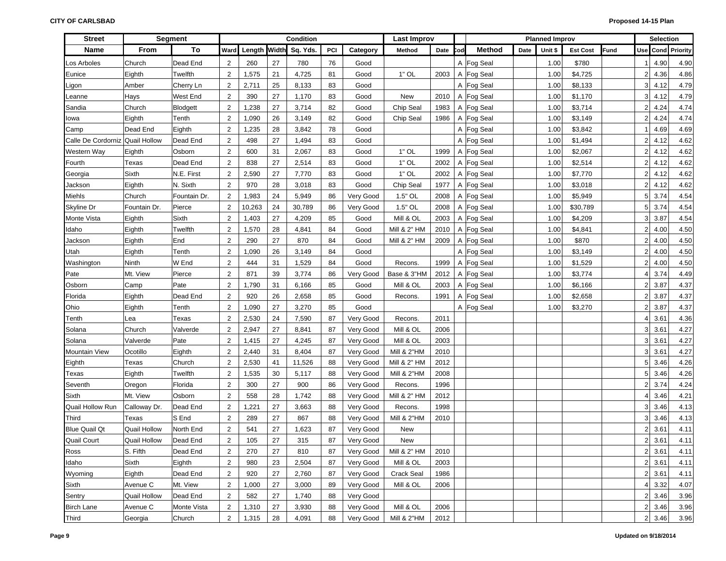| <b>Street</b>        |                     | <b>Segment</b> |                |        |    | Condition             |     |           | <b>Last Improv</b>     |      |     |               |      | <b>Planned Improv</b> |                 |      |                | <b>Selection</b>                   |                          |
|----------------------|---------------------|----------------|----------------|--------|----|-----------------------|-----|-----------|------------------------|------|-----|---------------|------|-----------------------|-----------------|------|----------------|------------------------------------|--------------------------|
| Name                 | From                | To             | Ward           |        |    | Length Width Sq. Yds. | PCI | Category  | Method                 | Date | Cod | <b>Method</b> | Date | Unit \$               | <b>Est Cost</b> | Fund |                |                                    | <b>Use Cond Priority</b> |
| Los Arboles          | Church              | Dead End       | $\overline{2}$ | 260    | 27 | 780                   | 76  | Good      |                        |      |     | A Fog Seal    |      | 1.00                  | \$780           |      |                | 4.90                               | 4.90                     |
| Eunice               | Eighth              | Twelfth        | $\overline{2}$ | 1,575  | 21 | 4,725                 | 81  | Good      | $1"$ OL                | 2003 |     | A Fog Seal    |      | 1.00                  | \$4,725         |      | $\overline{2}$ | 4.36                               | 4.86                     |
| _igon                | Amber               | Cherry Ln      | $\overline{2}$ | 2,711  | 25 | 8,133                 | 83  | Good      |                        |      |     | A Fog Seal    |      | 1.00                  | \$8,133         |      | 3              | 4.12                               | 4.79                     |
| eanne.               | Hays                | West End       | $\mathbf{2}$   | 390    | 27 | 1,170                 | 83  | Good      | New                    | 2010 |     | A Fog Seal    |      | 1.00                  | \$1,170         |      | 3              | 4.12                               | 4.79                     |
| Sandia               | Church              | Blodgett       | $\overline{2}$ | 1,238  | 27 | 3,714                 | 82  | Good      | Chip Seal              | 1983 |     | A Fog Seal    |      | 1.00                  | \$3,714         |      | $\overline{2}$ | 4.24                               | 4.74                     |
| lowa                 | Eighth              | Tenth          | $\overline{2}$ | 1,090  | 26 | 3,149                 | 82  | Good      | Chip Seal              | 1986 |     | A Fog Seal    |      | 1.00                  | \$3,149         |      | $\overline{2}$ | 4.24                               | 4.74                     |
| Camp                 | Dead End            | Eighth         | $\overline{2}$ | 1,235  | 28 | 3,842                 | 78  | Good      |                        |      |     | A Fog Seal    |      | 1.00                  | \$3,842         |      |                | 4.69                               | 4.69                     |
| Calle De Cordorniz   | <b>Quail Hollow</b> | Dead End       | $\overline{2}$ | 498    | 27 | 1,494                 | 83  | Good      |                        |      |     | A Fog Seal    |      | 1.00                  | \$1,494         |      | $\overline{2}$ | 4.12                               | 4.62                     |
| Western Way          | Eighth              | Osborn         | $\overline{2}$ | 600    | 31 | 2,067                 | 83  | Good      | $1"$ OL                | 1999 |     | A Fog Seal    |      | 1.00                  | \$2,067         |      | $\overline{2}$ | 4.12                               | 4.62                     |
| Fourth               | Texas               | Dead End       | $\overline{2}$ | 838    | 27 | 2,514                 | 83  | Good      | $1"$ OL                | 2002 |     | A Fog Seal    |      | 1.00                  | \$2,514         |      | $\overline{2}$ | 4.12                               | 4.62                     |
| Georgia              | Sixth               | N.E. First     | $\overline{2}$ | 2,590  | 27 | 7,770                 | 83  | Good      | $1"$ OL                | 2002 |     | A Fog Seal    |      | 1.00                  | \$7,770         |      | $\overline{2}$ | 4.12                               | 4.62                     |
| Jackson              | Eighth              | N. Sixth       | $\overline{2}$ | 970    | 28 | 3,018                 | 83  | Good      | Chip Seal              | 1977 |     | A Fog Seal    |      | 1.00                  | \$3,018         |      | $\overline{2}$ | 4.12                               | 4.62                     |
| Miehls               | Church              | Fountain Dr.   | $\overline{2}$ | 1,983  | 24 | 5,949                 | 86  | Very Good | 1.5" OL                | 2008 |     | A Fog Seal    |      | 1.00                  | \$5,949         |      | 5 <sup>1</sup> | 3.74                               | 4.54                     |
| Skyline Dr           | Fountain Dr.        | Pierce         | $\overline{2}$ | 10,263 | 24 | 30,789                | 86  | Very Good | 1.5" OL                | 2008 |     | A Fog Seal    |      | 1.00                  | \$30,789        |      | 5 <sup>1</sup> | 3.74                               | 4.54                     |
| Monte Vista          | Eighth              | Sixth          | $\overline{2}$ | 1,403  | 27 | 4,209                 | 85  | Good      | Mill & OL              | 2003 |     | A Fog Seal    |      | 1.00                  | \$4,209         |      | 3 <sup>1</sup> | 3.87                               | 4.54                     |
| Idaho                | Eighth              | Twelfth        | $\overline{2}$ | 1,570  | 28 | 4,841                 | 84  | Good      | Mill & 2" HM           | 2010 |     | A Fog Seal    |      | 1.00                  | \$4,841         |      | $\overline{2}$ | 4.00                               | 4.50                     |
| Jackson              | Eighth              | End            | $\overline{2}$ | 290    | 27 | 870                   | 84  | Good      | Mill & 2" HM           | 2009 |     | A Fog Seal    |      | 1.00                  | \$870           |      | $\overline{2}$ | 4.00                               | 4.50                     |
| Utah                 | Eighth              | Tenth          | $\overline{2}$ | 1,090  | 26 | 3,149                 | 84  | Good      |                        |      |     | A Fog Seal    |      | 1.00                  | \$3,149         |      | $\overline{2}$ | 4.00                               | 4.50                     |
| Washington           | Ninth               | W End          | $\overline{2}$ | 444    | 31 | 1,529                 | 84  | Good      | Recons.                | 1999 |     | A Fog Seal    |      | 1.00                  | \$1,529         |      | $\overline{2}$ | 4.00                               | 4.50                     |
| Pate                 | Mt. View            | Pierce         | $\overline{2}$ | 871    | 39 | 3,774                 | 86  | Very Good | Base & 3"HM            | 2012 |     | A Fog Seal    |      | 1.00                  | \$3,774         |      | 4              | 3.74                               | 4.49                     |
| Osborn               | Camp                | Pate           | $\overline{2}$ | 1,790  | 31 | 6,166                 | 85  | Good      | Mill & OL              | 2003 |     | A Fog Seal    |      | 1.00                  | \$6,166         |      | $\overline{2}$ | 3.87                               | 4.37                     |
| Florida              | Eighth              | Dead End       | $\overline{2}$ | 920    | 26 | 2,658                 | 85  | Good      | Recons.                | 1991 |     | A Fog Seal    |      | 1.00                  | \$2,658         |      | $\overline{2}$ | 3.87                               | 4.37                     |
| Ohio                 | Eighth              | Tenth          | $\overline{2}$ | 1,090  | 27 | 3,270                 | 85  | Good      |                        |      |     | A Fog Seal    |      | 1.00                  | \$3,270         |      | 2              | 3.87                               | 4.37                     |
| Tenth                | Lea                 | Texas          | $\overline{2}$ | 2,530  | 24 | 7,590                 | 87  | Very Good | Recons.                | 2011 |     |               |      |                       |                 |      | 4              | 3.61                               | 4.36                     |
| Solana               | Church              | Valverde       | $\overline{2}$ | 2,947  | 27 | 8,841                 | 87  | Very Good | Mill & OL              | 2006 |     |               |      |                       |                 |      | 3              | 3.61                               | 4.27                     |
| Solana               | Valverde            | Pate           | $\overline{2}$ | 1,415  | 27 | 4,245                 | 87  | Very Good | Mill & OL              | 2003 |     |               |      |                       |                 |      | 3              | 3.61                               | 4.27                     |
| <b>Mountain View</b> | Ocotillo            | Eighth         | $\overline{2}$ | 2,440  | 31 | 8,404                 | 87  | Very Good | Mill & 2"HM            | 2010 |     |               |      |                       |                 |      | 3              | 3.61                               | 4.27                     |
| Eighth               | Texas               | Church         | $\overline{2}$ | 2,530  | 41 | 11,526                | 88  | Very Good | Mill & 2" HM           | 2012 |     |               |      |                       |                 |      | 5              | 3.46                               | 4.26                     |
| Texas                | Eighth              | Twelfth        | $\overline{2}$ | 1,535  | 30 | 5,117                 | 88  | Very Good | Mill & 2"HM            | 2008 |     |               |      |                       |                 |      | 5              | 3.46                               | 4.26                     |
| Seventh              | Oregon              | Florida        | $\mathbf{2}$   | 300    | 27 | 900                   | 86  | Very Good | Recons.                | 1996 |     |               |      |                       |                 |      | $\overline{2}$ | 3.74                               | 4.24                     |
| Sixth                | Mt. View            | Osborn         | $\mathbf{2}$   | 558    | 28 | 1,742                 | 88  | Very Good | Mill & 2" HM           | 2012 |     |               |      |                       |                 |      | 4              | 3.46                               | 4.21                     |
| Quail Hollow Run     | Calloway Dr.        | Dead End       | $\overline{2}$ | 1,221  | 27 | 3,663                 | 88  | Very Good | Recons.                | 1998 |     |               |      |                       |                 |      | 3              | 3.46                               | 4.13                     |
| Third                | Texas               | S End          | $\overline{c}$ | 289    | 27 | 867                   | 88  | Very Good | <b>Mill &amp; 2"HM</b> | 2010 |     |               |      |                       |                 |      | 3              | 3.46                               | 4.13                     |
| <b>Blue Quail Qt</b> | <b>Quail Hollow</b> | North End      | $\overline{c}$ | 541    | 27 | 1,623                 | 87  | Very Good | <b>New</b>             |      |     |               |      |                       |                 |      | $\overline{2}$ | 3.61                               | 4.11                     |
| <b>Quail Court</b>   | <b>Quail Hollow</b> | Dead End       | $\overline{2}$ | 105    | 27 | 315                   | 87  | Very Good | <b>New</b>             |      |     |               |      |                       |                 |      | $\overline{2}$ | 3.61                               | 4.11                     |
| Ross                 | S. Fifth            | Dead End       | 2              | 270    | 27 | 810                   | 87  | Very Good | Mill & 2" HM           | 2010 |     |               |      |                       |                 |      |                | $2 \overline{3.61}$                | 4.11                     |
| Idaho                | Sixth               | Eighth         | $\overline{c}$ | 980    | 23 | 2,504                 | 87  | Very Good | Mill & OL              | 2003 |     |               |      |                       |                 |      |                | $2 \overline{)}3.61$               | 4.11                     |
| Wyoming              | Eighth              | Dead End       | $\overline{c}$ | 920    | 27 | 2,760                 | 87  | Very Good | Crack Seal             | 1986 |     |               |      |                       |                 |      |                | $2 \quad 3.61$                     | 4.11                     |
| Sixth                | Avenue C            | Mt. View       | $\overline{2}$ | 1,000  | 27 | 3,000                 | 89  | Very Good | Mill & OL              | 2006 |     |               |      |                       |                 |      |                | 4 3.32                             | 4.07                     |
| Sentry               | <b>Quail Hollow</b> | Dead End       | $\overline{2}$ | 582    | 27 | 1,740                 | 88  | Very Good |                        |      |     |               |      |                       |                 |      |                | $2 \overline{\smash{\big)} } 3.46$ | 3.96                     |
| <b>Birch Lane</b>    | Avenue C            | Monte Vista    | $\overline{c}$ | 1,310  | 27 | 3,930                 | 88  | Very Good | Mill & OL              | 2006 |     |               |      |                       |                 |      |                | $2 \mid 3.46$                      | 3.96                     |
| Third                | Georgia             | Church         | $\overline{2}$ | 1,315  | 28 | 4,091                 | 88  | Very Good | Mill & 2"HM            | 2012 |     |               |      |                       |                 |      |                | 2 3.46                             | 3.96                     |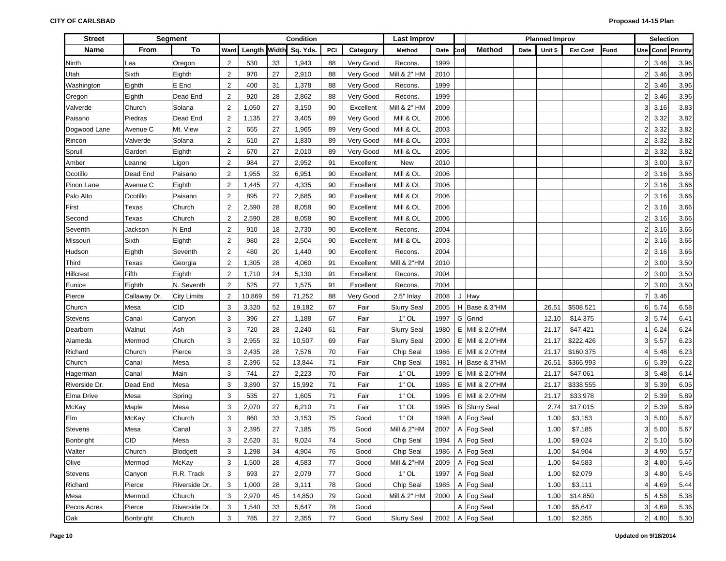| <b>Street</b>  |              | <b>Segment</b>     |                |        |    | Condition             |     |           | Last Improv            |      |     |                      |      | <b>Planned Improv</b> |                 |             |                | <b>Selection</b> |                   |
|----------------|--------------|--------------------|----------------|--------|----|-----------------------|-----|-----------|------------------------|------|-----|----------------------|------|-----------------------|-----------------|-------------|----------------|------------------|-------------------|
| Name           | From         | To                 | Ward           |        |    | Length Width Sq. Yds. | PCI | Category  | Method                 | Date | Cod | Method               | Date | Unit \$               | <b>Est Cost</b> | <b>Fund</b> |                |                  | Use Cond Priority |
| Ninth          | Lea          | Oregon             | $\overline{2}$ | 530    | 33 | 1,943                 | 88  | Very Good | Recons.                | 1999 |     |                      |      |                       |                 |             |                | 2 3.46           | 3.96              |
| Utah           | Sixth        | Eighth             | $\overline{2}$ | 970    | 27 | 2,910                 | 88  | Very Good | Mill & 2" HM           | 2010 |     |                      |      |                       |                 |             | 2 <sup>1</sup> | 3.46             | 3.96              |
| Washington     | Eighth       | E End              | $\overline{2}$ | 400    | 31 | 1,378                 | 88  | Very Good | Recons.                | 1999 |     |                      |      |                       |                 |             | 2 <sub>1</sub> | 3.46             | 3.96              |
| Oregon         | Eighth       | Dead End           | $\overline{2}$ | 920    | 28 | 2,862                 | 88  | Very Good | Recons.                | 1999 |     |                      |      |                       |                 |             | 2 <sub>1</sub> | 3.46             | 3.96              |
| Valverde       | Church       | Solana             | $\overline{2}$ | 1,050  | 27 | 3,150                 | 90  | Excellent | Mill & 2" HM           | 2009 |     |                      |      |                       |                 |             | 3 <sup>1</sup> | 3.16             | 3.83              |
| Paisano        | Piedras      | Dead End           | $\overline{2}$ | 1,135  | 27 | 3,405                 | 89  | Very Good | Mill & OL              | 2006 |     |                      |      |                       |                 |             | 2 <sub>1</sub> | 3.32             | 3.82              |
| Dogwood Lane   | Avenue C     | Mt. View           | $\overline{2}$ | 655    | 27 | 1,965                 | 89  | Very Good | Mill & OL              | 2003 |     |                      |      |                       |                 |             | 2 <sub>1</sub> | 3.32             | 3.82              |
| Rincon         | Valverde     | Solana             | $\overline{2}$ | 610    | 27 | 1,830                 | 89  | Very Good | Mill & OL              | 2003 |     |                      |      |                       |                 |             | 2 <sub>1</sub> | 3.32             | 3.82              |
| Sprull         | Garden       | Eighth             | $\overline{2}$ | 670    | 27 | 2,010                 | 89  | Very Good | Mill & OL              | 2006 |     |                      |      |                       |                 |             | $\overline{2}$ | 3.32             | 3.82              |
| Amber          | Leanne       | Ligon              | $\overline{2}$ | 984    | 27 | 2,952                 | 91  | Excellent | New                    | 2010 |     |                      |      |                       |                 |             | 3 <sup>1</sup> | 3.00             | 3.67              |
| Ocotillo       | Dead End     | Paisano            | $\overline{2}$ | 1,955  | 32 | 6,951                 | 90  | Excellent | Mill & OL              | 2006 |     |                      |      |                       |                 |             | 2 <sub>1</sub> | 3.16             | 3.66              |
| Pinon Lane     | Avenue C     | Eighth             | $\overline{2}$ | 1,445  | 27 | 4,335                 | 90  | Excellent | Mill & OL              | 2006 |     |                      |      |                       |                 |             | $\overline{2}$ | 3.16             | 3.66              |
| Palo Alto      | Ocotillo     | Paisano            | $\overline{2}$ | 895    | 27 | 2,685                 | 90  | Excellent | Mill & OL              | 2006 |     |                      |      |                       |                 |             | 2 <sub>1</sub> | 3.16             | 3.66              |
| First          | Texas        | Church             | $\overline{2}$ | 2,590  | 28 | 8,058                 | 90  | Excellent | Mill & OL              | 2006 |     |                      |      |                       |                 |             | $\overline{2}$ | 3.16             | 3.66              |
| Second         | Texas        | Church             | $\overline{2}$ | 2,590  | 28 | 8,058                 | 90  | Excellent | Mill & OL              | 2006 |     |                      |      |                       |                 |             | $\overline{2}$ | 3.16             | 3.66              |
| Seventh        | Jackson      | N End              | $\overline{2}$ | 910    | 18 | 2,730                 | 90  | Excellent | Recons.                | 2004 |     |                      |      |                       |                 |             | $\overline{2}$ | 3.16             | 3.66              |
| Missouri       | Sixth        | Eighth             | $\overline{2}$ | 980    | 23 | 2,504                 | 90  | Excellent | Mill & OL              | 2003 |     |                      |      |                       |                 |             | 21             | 3.16             | 3.66              |
| Hudson         | Eighth       | Seventh            | $\overline{2}$ | 480    | 20 | 1,440                 | 90  | Excellent | Recons.                | 2004 |     |                      |      |                       |                 |             | 21             | 3.16             | 3.66              |
| Third          | Texas        | Georgia            | $\overline{2}$ | 1,305  | 28 | 4,060                 | 91  | Excellent | <b>Mill &amp; 2"HM</b> | 2010 |     |                      |      |                       |                 |             | 21             | 3.00             | 3.50              |
| Hillcrest      | Fifth        | Eighth             | $\overline{2}$ | 1,710  | 24 | 5,130                 | 91  | Excellent | Recons.                | 2004 |     |                      |      |                       |                 |             | 21             | 3.00             | 3.50              |
| Eunice         | Eighth       | N. Seventh         | $\overline{2}$ | 525    | 27 | 1,575                 | 91  | Excellent | <b>Recons</b>          | 2004 |     |                      |      |                       |                 |             | 21             | 3.00             | 3.50              |
| Pierce         | Callaway Dr. | <b>City Limits</b> | $\overline{2}$ | 10,869 | 59 | 71,252                | 88  | Very Good | 2.5" Inlay             | 2008 |     | J Hwy                |      |                       |                 |             | 7              | 3.46             |                   |
| Church         | Mesa         | <b>CID</b>         | 3              | 3,320  | 52 | 19,182                | 67  | Fair      | <b>Slurry Seal</b>     | 2005 |     | H Base & 3"HM        |      | 26.51                 | \$508,521       |             | 6              | 5.74             | 6.58              |
| <b>Stevens</b> | Canal        | Canyon             | 3              | 396    | 27 | 1,188                 | 67  | Fair      | $1"$ OL                | 1997 |     | G Grind              |      | 12.10                 | \$14,375        |             | 3 <sup>1</sup> | 5.74             | 6.41              |
| Dearborn       | Walnut       | Ash                | 3              | 720    | 28 | 2,240                 | 61  | Fair      | <b>Slurry Seal</b>     | 1980 |     | E Mill & 2.0"HM      |      | 21.17                 | \$47,421        |             |                | 6.24             | 6.24              |
| Alameda        | Mermod       | Church             | 3              | 2,955  | 32 | 10,507                | 69  | Fair      | <b>Slurry Seal</b>     | 2000 | Е.  | Mill & 2.0"HM        |      | 21.17                 | \$222,426       |             | 3 <sup>1</sup> | 5.57             | 6.23              |
| Richard        | Church       | Pierce             | 3              | 2,435  | 28 | 7,576                 | 70  | Fair      | Chip Seal              | 1986 |     | E   Mill & 2.0"HM    |      | 21.17                 | \$160,375       |             | 4              | 5.48             | 6.23              |
| Church         | Canal        | Mesa               | 3              | 2,396  | 52 | 13,844                | 71  | Fair      | Chip Seal              | 1981 |     | H Base & 3"HM        |      | 26.51                 | \$366,993       |             | 6              | 5.39             | 6.22              |
| Hagerman       | Canal        | Main               | 3              | 741    | 27 | 2,223                 | 70  | Fair      | $1"$ OL                | 1999 |     | E   Mill & 2.0"HM    |      | 21.17                 | \$47,061        |             | 3 <sup>1</sup> | 5.48             | 6.14              |
| Riverside Dr.  | Dead End     | Mesa               | 3              | 3,890  | 37 | 15,992                | 71  | Fair      | $1"$ OL                | 1985 |     | E Mill & 2.0"HM      |      | 21.17                 | \$338,555       |             | 3 <sup>1</sup> | 5.39             | 6.05              |
| Elma Drive     | Mesa         | Spring             | 3              | 535    | 27 | 1,605                 | 71  | Fair      | $1"$ OL                | 1995 | Е.  | Mill & 2.0"HM        |      | 21.17                 | \$33,978        |             | 2 <sub>1</sub> | 5.39             | 5.89              |
| McKay          | Maple        | Mesa               | 3              | 2,070  | 27 | 6,210                 | 71  | Fair      | $1"$ OL                | 1995 |     | <b>B</b> Slurry Seal |      | 2.74                  | \$17,015        |             |                | 2 5.39           | 5.89              |
| Elm            | McKay        | Church             | 3              | 860    | 33 | 3,153                 | 75  | Good      | $1"$ OL                | 1998 |     | A Fog Seal           |      | 1.00                  | \$3,153         |             | 3 <sup>1</sup> | 5.00             | 5.67              |
| <b>Stevens</b> | Mesa         | Canal              | 3              | 2,395  | 27 | 7,185                 | 75  | Good      | <b>Mill &amp; 2"HM</b> | 2007 |     | A Fog Seal           |      | 1.00                  | \$7,185         |             | 31             | 5.00             | 5.67              |
| Bonbright      | CID          | Mesa               | 3              | 2,620  | 31 | 9,024                 | 74  | Good      | Chip Seal              | 1994 |     | A Fog Seal           |      | 1.00                  | \$9,024         |             | 2              | 5.10             | 5.60              |
| Walter         | Church       | Blodgett           | 3              | 1,298  | 34 | 4,904                 | 76  | Good      | Chip Seal              | 1986 |     | A Fog Seal           |      | 1.00                  | \$4,904         |             |                | 3 4.90           | 5.57              |
| Olive          | Mermod       | McKay              | 3              | 1,500  | 28 | 4,583                 | 77  | Good      | <b>Mill &amp; 2"HM</b> | 2009 |     | A Fog Seal           |      | 1.00                  | \$4,583         |             |                | 3 4.80           | 5.46              |
| Stevens        | Canyon       | R.R. Track         | 3              | 693    | 27 | 2,079                 | 77  | Good      | $1"$ OL                | 1997 |     | A Fog Seal           |      | 1.00                  | \$2,079         |             |                | 3 4.80           | 5.46              |
| Richard        | Pierce       | Riverside Dr.      | 3              | 1,000  | 28 | 3,111                 | 78  | Good      | Chip Seal              | 1985 |     | A Fog Seal           |      | 1.00                  | \$3,111         |             |                | $4 \mid 4.69$    | 5.44              |
| Mesa           | Mermod       | Church             | 3              | 2,970  | 45 | 14,850                | 79  | Good      | Mill & 2" HM           | 2000 |     | A Fog Seal           |      | 1.00                  | \$14,850        |             |                | 5 4.58           | 5.38              |
| Pecos Acres    | Pierce       | Riverside Dr.      | 3              | 1,540  | 33 | 5,647                 | 78  | Good      |                        |      |     | A Fog Seal           |      | 1.00                  | \$5,647         |             |                | 3 4.69           | 5.36              |
| Oak            | Bonbright    | Church             | 3              | 785    | 27 | 2,355                 | 77  | Good      | Slurry Seal            |      |     | 2002   A Fog Seal    |      | 1.00                  | \$2,355         |             |                | 2 4.80           | 5.30              |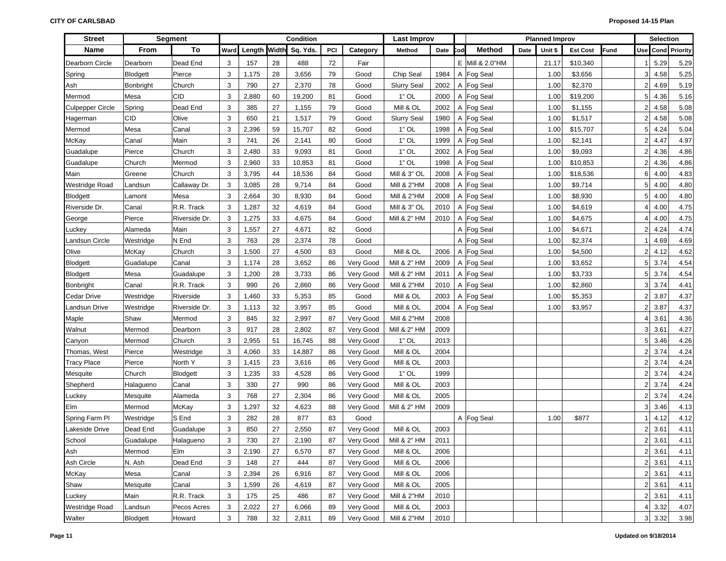| <b>Street</b>           |                 | <b>Segment</b> |      |       |    | Condition             |     |           | <b>Last Improv</b>     |      |     |                 |      | <b>Planned Improv</b> |                 |      |                | <b>Selection</b>    |                          |
|-------------------------|-----------------|----------------|------|-------|----|-----------------------|-----|-----------|------------------------|------|-----|-----------------|------|-----------------------|-----------------|------|----------------|---------------------|--------------------------|
| Name                    | From            | To             | Ward |       |    | Length Width Sq. Yds. | PCI | Category  | Method                 | Date | `od | <b>Method</b>   | Date | Unit \$               | <b>Est Cost</b> | Fund |                |                     | <b>Use Cond Priority</b> |
| Dearborn Circle         | Dearborn        | Dead End       | 3    | 157   | 28 | 488                   | 72  | Fair      |                        |      |     | E Mill & 2.0"HM |      | 21.17                 | \$10,340        |      |                | 5.29                | 5.29                     |
| Spring                  | <b>Blodgett</b> | Pierce         | 3    | 1,175 | 28 | 3,656                 | 79  | Good      | Chip Seal              | 1984 |     | A Fog Seal      |      | 1.00                  | \$3,656         |      | 3 <sup>1</sup> | 4.58                | 5.25                     |
| Ash                     | Bonbright       | Church         | 3    | 790   | 27 | 2,370                 | 78  | Good      | <b>Slurry Seal</b>     | 2002 |     | A Fog Seal      |      | 1.00                  | \$2,370         |      | $\overline{2}$ | 4.69                | 5.19                     |
| Mermod                  | Mesa            | <b>CID</b>     | 3    | 2,880 | 60 | 19,200                | 81  | Good      | $1"$ OL                | 2000 |     | A Fog Seal      |      | 1.00                  | \$19,200        |      | 5              | 4.36                | 5.16                     |
| <b>Culpepper Circle</b> | Spring          | Dead End       | 3    | 385   | 27 | 1,155                 | 79  | Good      | Mill & OL              | 2002 |     | A Fog Seal      |      | 1.00                  | \$1,155         |      | $\overline{2}$ | 4.58                | 5.08                     |
| Hagerman                | CID             | Olive          | 3    | 650   | 21 | 1,517                 | 79  | Good      | <b>Slurry Seal</b>     | 1980 |     | A Fog Seal      |      | 1.00                  | \$1,517         |      | 2              | 4.58                | 5.08                     |
| Mermod                  | Mesa            | Canal          | 3    | 2,396 | 59 | 15,707                | 82  | Good      | $1"$ OL                | 1998 |     | A Fog Seal      |      | 1.00                  | \$15,707        |      | 5              | 4.24                | 5.04                     |
| McKay                   | Canal           | Main           | 3    | 741   | 26 | 2,141                 | 80  | Good      | $1"$ OL                | 1999 |     | A Fog Seal      |      | 1.00                  | \$2,141         |      | $\overline{2}$ | 4.47                | 4.97                     |
| Guadalupe               | Pierce          | Church         | 3    | 2,480 | 33 | 9,093                 | 81  | Good      | $1"$ OL                | 2002 |     | A Fog Seal      |      | 1.00                  | \$9,093         |      | $\overline{2}$ | 4.36                | 4.86                     |
| Guadalupe               | Church          | Mermod         | 3    | 2,960 | 33 | 10,853                | 81  | Good      | $1"$ OL                | 1998 |     | A Fog Seal      |      | 1.00                  | \$10,853        |      | $\overline{2}$ | 4.36                | 4.86                     |
| Main                    | Greene          | Church         | 3    | 3,795 | 44 | 18,536                | 84  | Good      | Mill & 3" OL           | 2008 |     | A Fog Seal      |      | 1.00                  | \$18,536        |      | $6 \mid$       | 4.00                | 4.83                     |
| Westridge Road          | Landsun         | Callaway Dr.   | 3    | 3,085 | 28 | 9,714                 | 84  | Good      | <b>Mill &amp; 2"HM</b> | 2008 |     | A Fog Seal      |      | 1.00                  | \$9,714         |      | 5 <sup>1</sup> | 4.00                | 4.80                     |
| <b>Blodgett</b>         | Lamont          | Mesa           | 3    | 2,664 | 30 | 8,930                 | 84  | Good      | <b>Mill &amp; 2"HM</b> | 2008 |     | A Fog Seal      |      | 1.00                  | \$8,930         |      | 5 <sup>1</sup> | 4.00                | 4.80                     |
| Riverside Dr.           | Canal           | R.R. Track     | 3    | 1,287 | 32 | 4,619                 | 84  | Good      | Mill & 3" OL           | 2010 |     | A Fog Seal      |      | 1.00                  | \$4,619         |      | 4              | 4.00                | 4.75                     |
| George                  | Pierce          | Riverside Dr.  | 3    | 1,275 | 33 | 4,675                 | 84  | Good      | Mill & 2" HM           | 2010 |     | A Fog Seal      |      | 1.00                  | \$4,675         |      | 4              | 4.00                | 4.75                     |
| _uckey                  | Alameda         | Main           | 3    | 1,557 | 27 | 4,671                 | 82  | Good      |                        |      |     | A Fog Seal      |      | 1.00                  | \$4,671         |      | $\overline{2}$ | 4.24                | 4.74                     |
| Landsun Circle          | Westridge       | N End          | 3    | 763   | 28 | 2,374                 | 78  | Good      |                        |      |     | A Fog Seal      |      | 1.00                  | \$2,374         |      |                | 4.69                | 4.69                     |
| Olive                   | McKay           | Church         | 3    | 1,500 | 27 | 4,500                 | 83  | Good      | Mill & OL              | 2006 |     | A Fog Seal      |      | 1.00                  | \$4,500         |      | $\overline{2}$ | 4.12                | 4.62                     |
| Blodgett                | Guadalupe       | Canal          | 3    | 1,174 | 28 | 3,652                 | 86  | Very Good | Mill & 2" HM           | 2009 |     | A Fog Seal      |      | 1.00                  | \$3,652         |      | 5              | 3.74                | 4.54                     |
| Blodgett                | Mesa            | Guadalupe      | 3    | 1,200 | 28 | 3,733                 | 86  | Very Good | Mill & 2" HM           | 2011 |     | A Fog Seal      |      | 1.00                  | \$3,733         |      | 5              | 3.74                | 4.54                     |
| Bonbright               | Canal           | R.R. Track     | 3    | 990   | 26 | 2,860                 | 86  | Very Good | <b>Mill &amp; 2"HM</b> | 2010 |     | A Fog Seal      |      | 1.00                  | \$2,860         |      | 3 <sup>1</sup> | 3.74                | 4.41                     |
| Cedar Drive             | Westridge       | Riverside      | 3    | 1,460 | 33 | 5,353                 | 85  | Good      | Mill & OL              | 2003 |     | A Fog Seal      |      | 1.00                  | \$5,353         |      | $\overline{2}$ | 3.87                | 4.37                     |
| Landsun Drive           | Westridge       | Riverside Dr.  | 3    | 1,113 | 32 | 3,957                 | 85  | Good      | Mill & OL              | 2004 |     | A Fog Seal      |      | 1.00                  | \$3,957         |      | 2              | 3.87                | 4.37                     |
| Maple                   | Shaw            | Mermod         | 3    | 845   | 32 | 2,997                 | 87  | Very Good | Mill & 2"HM            | 2008 |     |                 |      |                       |                 |      | 4              | 3.61                | 4.36                     |
| Walnut                  | Mermod          | Dearborn       | 3    | 917   | 28 | 2,802                 | 87  | Very Good | Mill & 2" HM           | 2009 |     |                 |      |                       |                 |      | 3              | 3.61                | 4.27                     |
| Canyon                  | Mermod          | Church         | 3    | 2,955 | 51 | 16,745                | 88  | Very Good | $1"$ OL                | 2013 |     |                 |      |                       |                 |      | 5 <sup>1</sup> | 3.46                | 4.26                     |
| Thomas, West            | Pierce          | Westridge      | 3    | 4,060 | 33 | 14,887                | 86  | Very Good | Mill & OL              | 2004 |     |                 |      |                       |                 |      | $\overline{2}$ | 3.74                | 4.24                     |
| <b>Tracy Place</b>      | Pierce          | North Y        | 3    | 1,415 | 23 | 3,616                 | 86  | Very Good | Mill & OL              | 2003 |     |                 |      |                       |                 |      | $\overline{2}$ | 3.74                | 4.24                     |
| Mesquite                | Church          | Blodgett       | 3    | 1,235 | 33 | 4,528                 | 86  | Very Good | $1"$ OL                | 1999 |     |                 |      |                       |                 |      | $\overline{2}$ | 3.74                | 4.24                     |
| Shepherd                | Halagueno       | Canal          | 3    | 330   | 27 | 990                   | 86  | Very Good | Mill & OL              | 2003 |     |                 |      |                       |                 |      | $\overline{2}$ | 3.74                | 4.24                     |
| Luckey                  | Mesquite        | Alameda        | 3    | 768   | 27 | 2,304                 | 86  | Very Good | Mill & OL              | 2005 |     |                 |      |                       |                 |      | $\overline{2}$ | 3.74                | 4.24                     |
| Elm                     | Mermod          | McKay          | 3    | 1,297 | 32 | 4,623                 | 88  | Very Good | Mill & 2" HM           | 2009 |     |                 |      |                       |                 |      | 3              | 3.46                | 4.13                     |
| Spring Farm Pl          | Westridge       | S End          | 3    | 282   | 28 | 877                   | 83  | Good      |                        |      |     | A Fog Seal      |      | 1.00                  | \$877           |      |                | 4.12                | 4.12                     |
| Lakeside Drive          | Dead End        | Guadalupe      | 3    | 850   | 27 | 2,550                 | 87  | Very Good | Mill & OL              | 2003 |     |                 |      |                       |                 |      | $\overline{2}$ | 3.61                | 4.11                     |
| School                  | Guadalupe       | Halagueno      | 3    | 730   | 27 | 2,190                 | 87  | Very Good | Mill & 2" HM           | 2011 |     |                 |      |                       |                 |      | $\overline{2}$ | 3.61                | 4.11                     |
| Ash                     | Mermod          | Elm            | 3    | 2,190 | 27 | 6,570                 | 87  | Very Good | Mill & OL              | 2006 |     |                 |      |                       |                 |      |                | $2 \overline{3.61}$ | 4.11                     |
| Ash Circle              | N. Ash          | Dead End       | 3    | 148   | 27 | 444                   | 87  | Very Good | Mill & OL              | 2006 |     |                 |      |                       |                 |      |                | $2 \overline{3.61}$ | 4.11                     |
| McKay                   | Mesa            | Canal          | 3    | 2,394 | 26 | 6,916                 | 87  | Very Good | Mill & OL              | 2006 |     |                 |      |                       |                 |      |                | $2 \overline{3.61}$ | 4.11                     |
| Shaw                    | Mesquite        | Canal          | 3    | 1,599 | 26 | 4,619                 | 87  | Very Good | Mill & OL              | 2005 |     |                 |      |                       |                 |      |                | 2 3.61              | 4.11                     |
| Luckey                  | Main            | R.R. Track     | 3    | 175   | 25 | 486                   | 87  | Very Good | Mill & 2"HM            | 2010 |     |                 |      |                       |                 |      |                | $2 \overline{3.61}$ | 4.11                     |
| <b>Westridge Road</b>   | Landsun         | Pecos Acres    | 3    | 2,022 | 27 | 6,066                 | 89  | Very Good | Mill & OL              | 2003 |     |                 |      |                       |                 |      |                | 4 3.32              | 4.07                     |
| Walter                  | Blodgett        | Howard         | 3    | 788   | 32 | 2,811                 | 89  | Very Good | Mill & 2"HM            | 2010 |     |                 |      |                       |                 |      |                | 3 3.32              | 3.98                     |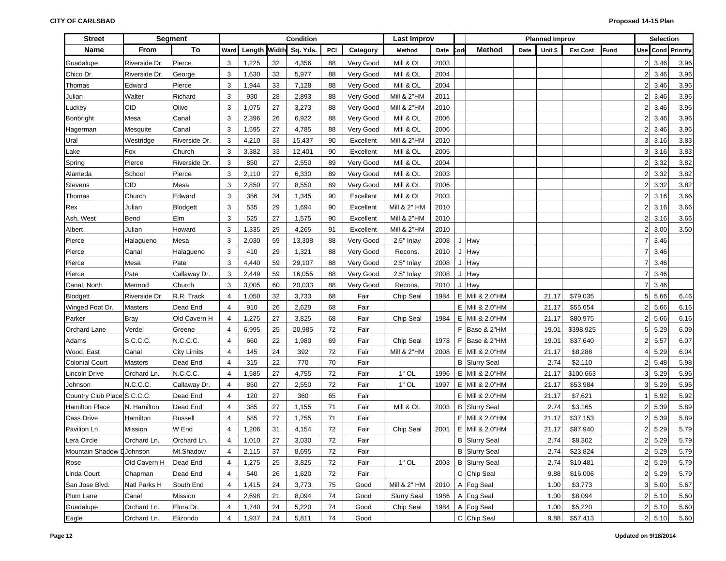| <b>Street</b>               |                | <b>Segment</b>     |                |       |    | Condition             |     |           | Last Improv            |      |     |                      |      | <b>Planned Improv</b> |                 |      |                | <b>Selection</b> |                      |
|-----------------------------|----------------|--------------------|----------------|-------|----|-----------------------|-----|-----------|------------------------|------|-----|----------------------|------|-----------------------|-----------------|------|----------------|------------------|----------------------|
| Name                        | From           | To                 | Ward           |       |    | Length Width Sq. Yds. | PCI | Category  | Method                 | Date | Cod | Method               | Date | Unit \$               | <b>Est Cost</b> | Fund | <b>Use</b>     |                  | <b>Cond</b> Priority |
| Guadalupe                   | Riverside Dr.  | Pierce             | 3              | 1,225 | 32 | 4,356                 | 88  | Very Good | Mill & OL              | 2003 |     |                      |      |                       |                 |      | 2 <sup>1</sup> | 3.46             | 3.96                 |
| Chico Dr.                   | Riverside Dr.  | George             | 3              | 1,630 | 33 | 5,977                 | 88  | Very Good | Mill & OL              | 2004 |     |                      |      |                       |                 |      |                | 3.46             | 3.96                 |
| Thomas                      | Edward         | Pierce             | 3              | 1,944 | 33 | 7,128                 | 88  | Very Good | Mill & OL              | 2004 |     |                      |      |                       |                 |      |                | 3.46             | 3.96                 |
| Julian                      | Walter         | Richard            | 3              | 930   | 28 | 2,893                 | 88  | Very Good | Mill & 2"HM            | 2011 |     |                      |      |                       |                 |      |                | 3.46             | 3.96                 |
| Luckey                      | CID            | Olive              | 3              | 1,075 | 27 | 3,273                 | 88  | Very Good | <b>Mill &amp; 2"HM</b> | 2010 |     |                      |      |                       |                 |      | 2              | 3.46             | 3.96                 |
| Bonbright                   | Mesa           | Canal              | 3              | 2,396 | 26 | 6,922                 | 88  | Very Good | Mill & OL              | 2006 |     |                      |      |                       |                 |      | 2              | 3.46             | 3.96                 |
| Hagerman                    | Mesquite       | Canal              | 3              | 1,595 | 27 | 4,785                 | 88  | Very Good | Mill & OL              | 2006 |     |                      |      |                       |                 |      | 2              | 3.46             | 3.96                 |
| Ural                        | Westridge      | Riverside Dr.      | 3              | 4,210 | 33 | 15,437                | 90  | Excellent | <b>Mill &amp; 2"HM</b> | 2010 |     |                      |      |                       |                 |      | 3              | 3.16             | 3.83                 |
| Lake                        | Fox            | Church             | 3              | 3,382 | 33 | 12,401                | 90  | Excellent | Mill & OL              | 2005 |     |                      |      |                       |                 |      | 3              | 3.16             | 3.83                 |
| Spring                      | Pierce         | Riverside Dr.      | 3              | 850   | 27 | 2,550                 | 89  | Very Good | Mill & OL              | 2004 |     |                      |      |                       |                 |      |                | 3.32             | 3.82                 |
| Alameda                     | School         | Pierce             | 3              | 2,110 | 27 | 6,330                 | 89  | Very Good | Mill & OL              | 2003 |     |                      |      |                       |                 |      |                | 3.32             | 3.82                 |
| Stevens                     | CID            | Mesa               | 3              | 2,850 | 27 | 8,550                 | 89  | Very Good | Mill & OL              | 2006 |     |                      |      |                       |                 |      |                | 3.32             | 3.82                 |
| Thomas                      | Church         | Edward             | 3              | 356   | 34 | 1,345                 | 90  | Excellent | Mill & OL              | 2003 |     |                      |      |                       |                 |      |                | 3.16             | 3.66                 |
| Rex                         | Julian         | Blodgett           | 3              | 535   | 29 | 1,694                 | 90  | Excellent | Mill & 2" HM           | 2010 |     |                      |      |                       |                 |      |                | 3.16             | 3.66                 |
| Ash, West                   | Bend           | Elm                | 3              | 525   | 27 | 1,575                 | 90  | Excellent | <b>Mill &amp; 2"HM</b> | 2010 |     |                      |      |                       |                 |      |                | 3.16             | 3.66                 |
| Albert                      | Julian         | Howard             | 3              | 1,335 | 29 | 4,265                 | 91  | Excellent | <b>Mill &amp; 2"HM</b> | 2010 |     |                      |      |                       |                 |      |                | 3.00             | 3.50                 |
| Pierce                      | Halagueno      | Mesa               | 3              | 2,030 | 59 | 13,308                | 88  | Very Good | 2.5" Inlay             | 2008 |     | J Hwy                |      |                       |                 |      |                | 3.46             |                      |
| Pierce                      | Canal          | Halagueno          | 3              | 410   | 29 | 1,321                 | 88  | Very Good | Recons.                | 2010 |     | J Hwy                |      |                       |                 |      |                | 3.46             |                      |
| Pierce                      | Mesa           | Pate               | 3              | 4,440 | 59 | 29,107                | 88  | Very Good | 2.5" Inlay             | 2008 |     | J Hwy                |      |                       |                 |      |                | 3.46             |                      |
| Pierce                      | Pate           | Callaway Dr.       | 3              | 2,449 | 59 | 16,055                | 88  | Very Good | 2.5" Inlay             | 2008 |     | J Hwy                |      |                       |                 |      |                | 3.46             |                      |
| Canal, North                | Mermod         | Church             | 3              | 3,005 | 60 | 20,033                | 88  | Very Good | Recons.                | 2010 |     | J Hwy                |      |                       |                 |      |                | 3.46             |                      |
| <b>Blodgett</b>             | Riverside Dr.  | R.R. Track         | $\overline{4}$ | 1,050 | 32 | 3,733                 | 68  | Fair      | Chip Seal              | 1984 |     | E Mill & 2.0"HM      |      | 21.17                 | \$79,035        |      | 5              | 5.66             | 6.46                 |
| Winged Foot Dr.             | <b>Masters</b> | Dead End           | $\overline{4}$ | 910   | 26 | 2,629                 | 68  | Fair      |                        |      |     | E Mill & 2.0"HM      |      | 21.17                 | \$55,654        |      |                | 5.66             | 6.16                 |
| Parker                      | Bray           | Old Cavern H       | 4              | 1,275 | 27 | 3,825                 | 68  | Fair      | Chip Seal              | 1984 |     | E Mill & 2.0"HM      |      | 21.17                 | \$80,975        |      |                | 5.66             | 6.16                 |
| Orchard Lane                | Verdel         | Greene             | $\overline{4}$ | 6,995 | 25 | 20,985                | 72  | Fair      |                        |      |     | F Base & 2"HM        |      | 19.01                 | \$398,925       |      |                | 5.29             | 6.09                 |
| Adams                       | S.C.C.C.       | N.C.C.C.           | $\overline{4}$ | 660   | 22 | 1,980                 | 69  | Fair      | Chip Seal              | 1978 |     | F Base & 2"HM        |      | 19.01                 | \$37,640        |      |                | 5.57             | 6.07                 |
| Wood, East                  | Canal          | <b>City Limits</b> | $\overline{4}$ | 145   | 24 | 392                   | 72  | Fair      | <b>Mill &amp; 2"HM</b> | 2008 |     | E   Mill & 2.0"HM    |      | 21.17                 | \$8,288         |      |                | 5.29             | 6.04                 |
| <b>Colonial Court</b>       | Masters        | Dead End           | $\overline{4}$ | 315   | 22 | 770                   | 70  | Fair      |                        |      |     | <b>B</b> Slurry Seal |      | 2.74                  | \$2,110         |      |                | 5.48             | 5.98                 |
| Lincoln Drive               | Orchard Ln.    | N.C.C.C.           | $\overline{4}$ | 1,585 | 27 | 4,755                 | 72  | Fair      | $1"$ OL                | 1996 |     | E   Mill & 2.0"HM    |      | 21.17                 | \$100,663       |      | 3              | 5.29             | 5.96                 |
| Johnson                     | N.C.C.C.       | Callaway Dr.       | 4              | 850   | 27 | 2,550                 | 72  | Fair      | $1"$ OL                | 1997 |     | E Mill & 2.0"HM      |      | 21.17                 | \$53,984        |      | 3              | 5.29             | 5.96                 |
| Country Club Place S.C.C.C. |                | Dead End           | 4              | 120   | 27 | 360                   | 65  | Fair      |                        |      |     | E Mill & 2.0"HM      |      | 21.17                 | \$7,621         |      |                | 5.92             | 5.92                 |
| <b>Hamilton Place</b>       | N. Hamilton    | Dead End           | 4              | 385   | 27 | 1,155                 | 71  | Fair      | Mill & OL              | 2003 |     | <b>B</b> Slurry Seal |      | 2.74                  | \$3,165         |      | 2              | 5.39             | 5.89                 |
| Cass Drive                  | Hamilton       | Russell            | $\overline{4}$ | 585   | 27 | 1,755                 | 71  | Fair      |                        |      |     | E Mill & 2.0"HM      |      | 21.17                 | \$37,153        |      |                | 5.39             | 5.89                 |
| Pavilion Ln                 | Mission        | W End              | $\overline{4}$ | 1,206 | 31 | 4,154                 | 72  | Fair      | Chip Seal              | 2001 |     | E Mill & 2.0"HM      |      | 21.17                 | \$87,940        |      |                | 5.29             | 5.79                 |
| Lera Circle                 | Orchard Ln.    | Orchard Ln.        | 4              | 1,010 | 27 | 3,030                 | 72  | Fair      |                        |      |     | <b>B</b> Slurry Seal |      | 2.74                  | \$8,302         |      |                | 5.29             | 5.79                 |
| Mountain Shadow LJohnson    |                | Mt.Shadow          | 4              | 2,115 | 37 | 8,695                 | 72  | Fair      |                        |      |     | <b>B</b> Slurry Seal |      | 2.74                  | \$23,824        |      |                | 2 5.29           | 5.79                 |
| Rose                        | Old Cavern H   | Dead End           | 4              | 1,275 | 25 | 3,825                 | 72  | Fair      | $1"$ OL                | 2003 |     | <b>B</b> Slurry Seal |      | 2.74                  | \$10,481        |      |                | 2 5.29           | 5.79                 |
| Linda Court                 | Chapman        | Dead End           | 4              | 540   | 26 | 1,620                 | 72  | Fair      |                        |      |     | C Chip Seal          |      | 9.88                  | \$16,006        |      | 2              | 5.29             | 5.79                 |
| San Jose Blvd.              | Natl Parks H   | South End          | 4              | 1,415 | 24 | 3,773                 | 75  | Good      | Mill & 2" HM           | 2010 |     | A Fog Seal           |      | 1.00                  | \$3,773         |      | 3 <sup>1</sup> | 5.00             | 5.67                 |
| Plum Lane                   | Canal          | Mission            | 4              | 2,698 | 21 | 8,094                 | 74  | Good      | <b>Slurry Seal</b>     | 1986 |     | A Fog Seal           |      | 1.00                  | \$8,094         |      |                | 2 5.10           | 5.60                 |
| Guadalupe                   | Orchard Ln.    | Elora Dr.          | 4              | 1,740 | 24 | 5,220                 | 74  | Good      | Chip Seal              | 1984 |     | A Fog Seal           |      | 1.00                  | \$5,220         |      |                | $2 \quad 5.10$   | 5.60                 |
| Eagle                       | Orchard Ln.    | Elizondo           | 4              | 1,937 | 24 | 5,811                 | 74  | Good      |                        |      |     | C Chip Seal          |      | 9.88                  | \$57,413        |      |                | 2 5.10           | 5.60                 |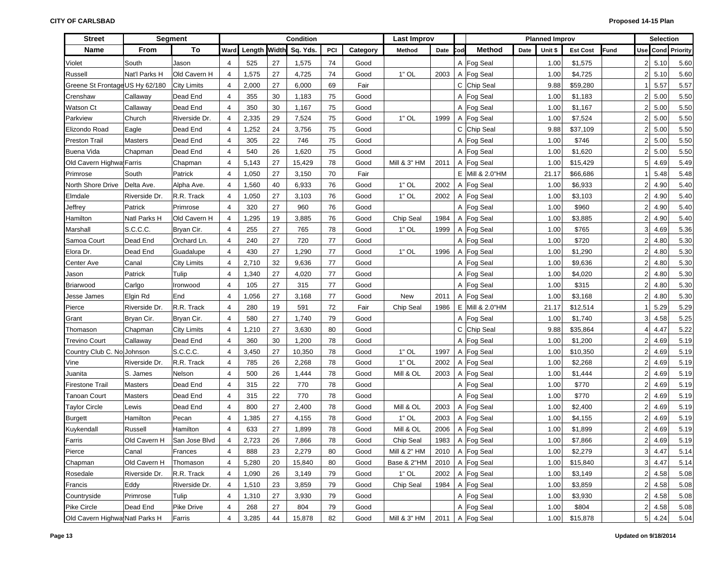| <b>Street</b>                   |               | Segment            | Condition      |              |    |          |     | <b>Last Improv</b> |                   |      |     |                   | <b>Planned Improv</b> |         |                 |      | <b>Selection</b>  |        |                   |
|---------------------------------|---------------|--------------------|----------------|--------------|----|----------|-----|--------------------|-------------------|------|-----|-------------------|-----------------------|---------|-----------------|------|-------------------|--------|-------------------|
| Name                            | From          | To                 | Ward           | Length Width |    | Sq. Yds. | PCI | Category           | Method            | Date | `od | Method            | Date                  | Unit \$ | <b>Est Cost</b> | Fund |                   |        | Use Cond Priority |
| Violet                          | South         | Jason              | $\overline{4}$ | 525          | 27 | 1,575    | 74  | Good               |                   |      |     | A Fog Seal        |                       | 1.00    | \$1,575         |      | 2 <sub>1</sub>    | 5.10   | 5.60              |
| Russell                         | Nat'l Parks H | Old Cavern H       | $\overline{4}$ | 1,575        | 27 | 4,725    | 74  | Good               | $1"$ OL           | 2003 |     | A Fog Seal        |                       | 1.00    | \$4,725         |      | $\overline{2}$    | 5.10   | 5.60              |
| Greene St Frontage US Hy 62/180 |               | <b>City Limits</b> | 4              | 2,000        | 27 | 6,000    | 69  | Fair               |                   |      |     | C Chip Seal       |                       | 9.88    | \$59,280        |      |                   | 5.57   | 5.57              |
| Crenshaw                        | Callaway      | Dead End           | 4              | 355          | 30 | 1,183    | 75  | Good               |                   |      |     | A Fog Seal        |                       | 1.00    | \$1,183         |      | $\overline{2}$    | 5.00   | 5.50              |
| Watson Ct                       | Callaway      | Dead End           | 4              | 350          | 30 | 1,167    | 75  | Good               |                   |      |     | A Fog Seal        |                       | 1.00    | \$1,167         |      | $\overline{2}$    | 5.00   | 5.50              |
| Parkview                        | Church        | Riverside Dr.      | $\overline{4}$ | 2,335        | 29 | 7,524    | 75  | Good               | $1"$ OL           | 1999 |     | A Fog Seal        |                       | 1.00    | \$7,524         |      | $\overline{2}$    | 5.00   | 5.50              |
| Elizondo Road                   | Eagle         | Dead End           | 4              | 1,252        | 24 | 3,756    | 75  | Good               |                   |      |     | C Chip Seal       |                       | 9.88    | \$37,109        |      | $\overline{2}$    | 5.00   | 5.50              |
| Preston Trail                   | Masters       | Dead End           | $\overline{4}$ | 305          | 22 | 746      | 75  | Good               |                   |      |     | A Fog Seal        |                       | 1.00    | \$746           |      | $\overline{2}$    | 5.00   | 5.50              |
| Buena Vida                      | Chapman       | Dead End           | 4              | 540          | 26 | 1,620    | 75  | Good               |                   |      |     | A Fog Seal        |                       | 1.00    | \$1,620         |      | $\overline{2}$    | 5.00   | 5.50              |
| Old Cavern Highwa Farris        |               | Chapman            | $\overline{4}$ | 5,143        | 27 | 15,429   | 78  | Good               | Mill & 3" HM      | 2011 |     | A Fog Seal        |                       | 1.00    | \$15,429        |      | 5 <sup>1</sup>    | 4.69   | 5.49              |
| Primrose                        | South         | Patrick            | 4              | 1,050        | 27 | 3,150    | 70  | Fair               |                   |      |     | E   Mill & 2.0"HM |                       | 21.17   | \$66,686        |      |                   | 5.48   | 5.48              |
| North Shore Drive               | Delta Ave.    | Alpha Ave.         | $\overline{4}$ | 1,560        | 40 | 6,933    | 76  | Good               | $1"$ OL           | 2002 |     | A Fog Seal        |                       | 1.00    | \$6,933         |      | $\overline{2}$    | 4.90   | 5.40              |
| Elmdale                         | Riverside Dr. | R.R. Track         | 4              | 1,050        | 27 | 3,103    | 76  | Good               | $1"$ OL           | 2002 |     | A Fog Seal        |                       | 1.00    | \$3,103         |      | $\overline{2}$    | 4.90   | 5.40              |
| Jeffrey                         | Patrick       | Primrose           | $\overline{4}$ | 320          | 27 | 960      | 76  | Good               |                   |      |     | A Fog Seal        |                       | 1.00    | \$960           |      | $\overline{2}$    | 4.90   | 5.40              |
| Hamilton                        | Natl Parks H  | Old Cavern H       | 4              | 1,295        | 19 | 3,885    | 76  | Good               | Chip Seal         | 1984 |     | A Fog Seal        |                       | 1.00    | \$3,885         |      | $\overline{2}$    | 4.90   | 5.40              |
| Marshall                        | S.C.C.C.      | Bryan Cir.         | 4              | 255          | 27 | 765      | 78  | Good               | $1"$ OL           | 1999 |     | A Fog Seal        |                       | 1.00    | \$765           |      | 3 <sup>1</sup>    | 4.69   | 5.36              |
| Samoa Court                     | Dead End      | Orchard Ln.        | $\overline{4}$ | 240          | 27 | 720      | 77  | Good               |                   |      |     | A Fog Seal        |                       | 1.00    | \$720           |      | $\overline{2}$    | 4.80   | 5.30              |
| Elora Dr.                       | Dead End      | Guadalupe          | $\overline{4}$ | 430          | 27 | 1,290    | 77  | Good               | $1"$ OL           | 1996 |     | A Fog Seal        |                       | 1.00    | \$1,290         |      | $\overline{2}$    | 4.80   | 5.30              |
| Center Ave                      | Canal         | <b>City Limits</b> | $\overline{4}$ | 2,710        | 32 | 9,636    | 77  | Good               |                   |      |     | A Fog Seal        |                       | 1.00    | \$9,636         |      | $\overline{2}$    | 4.80   | 5.30              |
| Jason                           | Patrick       | Tulip              | $\overline{4}$ | 1,340        | 27 | 4,020    | 77  | Good               |                   |      |     | A Fog Seal        |                       | 1.00    | \$4,020         |      | $\overline{2}$    | 4.80   | 5.30              |
| Briarwood                       | Carlgo        | Ironwood           | $\overline{4}$ | 105          | 27 | 315      | 77  | Good               |                   |      |     | A Fog Seal        |                       | 1.00    | \$315           |      | $\overline{2}$    | 4.80   | 5.30              |
| Jesse James                     | Elgin Rd      | End                | $\overline{4}$ | 1,056        | 27 | 3,168    | 77  | Good               | New               | 2011 |     | A Fog Seal        |                       | 1.00    | \$3,168         |      | $\overline{2}$    | 4.80   | 5.30              |
| Pierce                          | Riverside Dr. | R.R. Track         | $\overline{4}$ | 280          | 19 | 591      | 72  | Fair               | Chip Seal         | 1986 |     | E Mill & 2.0"HM   |                       | 21.17   | \$12,514        |      |                   | 5.29   | 5.29              |
| Grant                           | Bryan Cir.    | Bryan Cir.         | $\overline{4}$ | 580          | 27 | 1,740    | 79  | Good               |                   |      |     | A Fog Seal        |                       | 1.00    | \$1,740         |      | 3 <sup>1</sup>    | 4.58   | 5.25              |
| Thomason                        | Chapman       | <b>City Limits</b> | $\overline{4}$ | 1,210        | 27 | 3,630    | 80  | Good               |                   |      |     | C Chip Seal       |                       | 9.88    | \$35,864        |      | 4                 | 4.47   | 5.22              |
| <b>Trevino Court</b>            | Callaway      | Dead End           | $\overline{4}$ | 360          | 30 | 1,200    | 78  | Good               |                   |      |     | A Fog Seal        |                       | 1.00    | \$1,200         |      | $\overline{2}$    | 4.69   | 5.19              |
| Country Club C. No Johnson      |               | S.C.C.C.           | $\overline{4}$ | 3,450        | 27 | 10,350   | 78  | Good               | $1"$ OL           | 1997 |     | A Fog Seal        |                       | 1.00    | \$10,350        |      | $\overline{2}$    | 4.69   | 5.19              |
| Vine                            | Riverside Dr. | R.R. Track         | $\overline{4}$ | 785          | 26 | 2,268    | 78  | Good               | $1"$ OL           | 2002 |     | A Fog Seal        |                       | 1.00    | \$2,268         |      | $\overline{2}$    | 4.69   | 5.19              |
| Juanita                         | S. James      | Nelson             | $\overline{4}$ | 500          | 26 | 1,444    | 78  | Good               | Mill & OL         | 2003 |     | A Fog Seal        |                       | 1.00    | \$1,444         |      | $\overline{2}$    | 4.69   | 5.19              |
| <b>Firestone Trail</b>          | Masters       | Dead End           | $\overline{4}$ | 315          | 22 | 770      | 78  | Good               |                   |      |     | A   Fog Seal      |                       | 1.00    | \$770           |      | $\overline{2}$    | 4.69   | 5.19              |
| Tanoan Court                    | Masters       | Dead End           | $\overline{4}$ | 315          | 22 | 770      | 78  | Good               |                   |      |     | A Fog Seal        |                       | 1.00    | \$770           |      | $\overline{2}$    | 4.69   | 5.19              |
| <b>Taylor Circle</b>            | Lewis         | Dead End           | $\overline{4}$ | 800          | 27 | 2,400    | 78  | Good               | Mill & OL         | 2003 |     | A   Fog Seal      |                       | 1.00    | \$2,400         |      | $\overline{2}$    | 4.69   | 5.19              |
| <b>Burgett</b>                  | Hamilton      | Pecan              | $\overline{4}$ | 1,385        | 27 | 4,155    | 78  | Good               | $1"$ OL           | 2003 |     | A Fog Seal        |                       | 1.00    | \$4,155         |      | $\overline{2}$    | 4.69   | 5.19              |
| Kuykendall                      | Russell       | Hamilton           | $\overline{4}$ | 633          | 27 | 1,899    | 78  | Good               | Mill & OL         | 2006 |     | A Fog Seal        |                       | 1.00    | \$1,899         |      | $\overline{2}$    | 4.69   | 5.19              |
| Farris                          | Old Cavern H  | San Jose Blvd      | 4              | 2,723        | 26 | 7,866    | 78  | Good               | Chip Seal         | 1983 |     | A Fog Seal        |                       | 1.00    | \$7,866         |      | $\mathsf{2}\vert$ | 4.69   | 5.19              |
| Pierce                          | Canal         | Frances            | 4              | 888          | 23 | 2,279    | 80  | Good               | Mill & 2" HM      |      |     | 2010   A Fog Seal |                       | 1.00    | \$2,279         |      |                   | 3 4.47 | 5.14              |
| Chapman                         | Old Cavern H  | Thomason           | 4              | 5,280        | 20 | 15,840   | 80  | Good               | Base & 2"HM       | 2010 |     | A Fog Seal        |                       | 1.00    | \$15,840        |      |                   | 3 4.47 | 5.14              |
| Rosedale                        | Riverside Dr. | R.R. Track         | 4              | 1,090        | 26 | 3,149    | 79  | Good               | $1"$ OL           | 2002 |     | A Fog Seal        |                       | 1.00    | \$3,149         |      |                   | 2 4.58 | 5.08              |
| Francis                         | Eddy          | Riverside Dr.      | 4              | 1,510        | 23 | 3,859    | 79  | Good               | Chip Seal         | 1984 |     | A Fog Seal        |                       | 1.00    | \$3,859         |      |                   | 2 4.58 | 5.08              |
| Countryside                     | Primrose      | Tulip              | $\overline{4}$ | 1,310        | 27 | 3,930    | 79  | Good               |                   |      |     | A Fog Seal        |                       | 1.00    | \$3,930         |      |                   | 2 4.58 | 5.08              |
| Pike Circle                     | Dead End      | Pike Drive         | 4              | 268          | 27 | 804      | 79  | Good               |                   |      |     | A Fog Seal        |                       | 1.00    | \$804           |      |                   | 2 4.58 | 5.08              |
| Old Cavern Highwa Natl Parks H  |               | Farris             | $\overline{4}$ | 3,285        | 44 | 15,878   | 82  | Good               | Mill & 3" HM 2011 |      |     | A Fog Seal        |                       | 1.00    | \$15,878        |      |                   | 5 4.24 | 5.04              |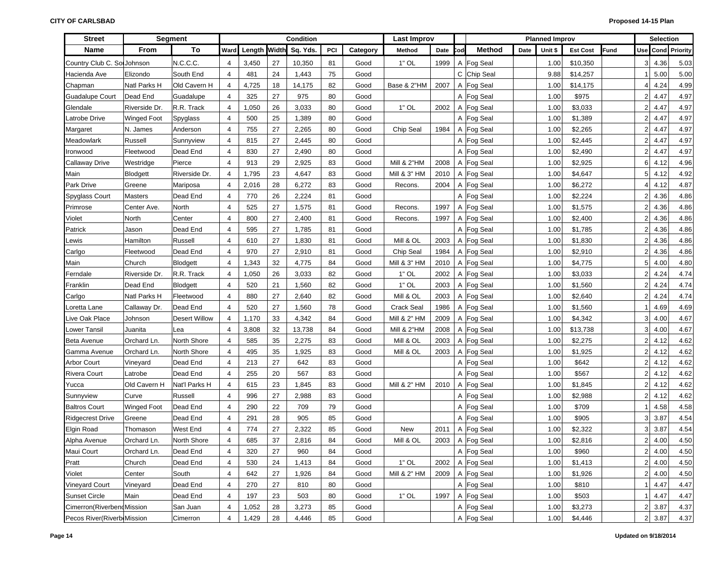| <b>Street</b>               |                 | Segment              | Condition      |       |    |                       |     | Last Improv |                        |      | <b>Planned Improv</b> |               |      |         | <b>Selection</b> |      |                |                |                   |
|-----------------------------|-----------------|----------------------|----------------|-------|----|-----------------------|-----|-------------|------------------------|------|-----------------------|---------------|------|---------|------------------|------|----------------|----------------|-------------------|
| <b>Name</b>                 | <b>From</b>     | To                   | Ward           |       |    | Length Width Sq. Yds. | PCI | Category    | Method                 | Date | Cod                   | <b>Method</b> | Date | Unit \$ | <b>Est Cost</b>  | Fund |                |                | Use Cond Priority |
| Country Club C. Sol Johnson |                 | N.C.C.C.             | $\overline{4}$ | 3,450 | 27 | 10,350                | 81  | Good        | $1"$ OL                | 1999 | A                     | Fog Seal      |      | 1.00    | \$10,350         |      | 3 <sup>1</sup> | 4.36           | 5.03              |
| Hacienda Ave                | Elizondo        | South End            | 4              | 481   | 24 | 1,443                 | 75  | Good        |                        |      |                       | C Chip Seal   |      | 9.88    | \$14,257         |      |                | 5.00           | 5.00              |
| Chapman                     | Natl Parks H    | Old Cavern H         | $\overline{4}$ | 4,725 | 18 | 14,175                | 82  | Good        | Base & 2"HM            | 2007 |                       | A Fog Seal    |      | 1.00    | \$14,175         |      | 4              | 4.24           | 4.99              |
| <b>Guadalupe Court</b>      | Dead End        | Guadalupe            | 4              | 325   | 27 | 975                   | 80  | Good        |                        |      |                       | A Fog Seal    |      | 1.00    | \$975            |      | $\overline{2}$ | 4.47           | 4.97              |
| Glendale                    | Riverside Dr.   | R.R. Track           | 4              | 1,050 | 26 | 3,033                 | 80  | Good        | $1"$ OL                | 2002 |                       | A Fog Seal    |      | 1.00    | \$3,033          |      | $\overline{2}$ | 4.47           | 4.97              |
| Latrobe Drive               | Winged Foot     | Spyglass             | $\overline{4}$ | 500   | 25 | 1,389                 | 80  | Good        |                        |      |                       | A Fog Seal    |      | 1.00    | \$1,389          |      | $\overline{2}$ | 4.47           | 4.97              |
| Margaret                    | N. James        | Anderson             | 4              | 755   | 27 | 2,265                 | 80  | Good        | Chip Seal              | 1984 |                       | A Fog Seal    |      | 1.00    | \$2,265          |      | $\overline{2}$ | 4.47           | 4.97              |
| Meadowlark                  | Russell         | Sunnyview            | 4              | 815   | 27 | 2,445                 | 80  | Good        |                        |      |                       | A Fog Seal    |      | 1.00    | \$2,445          |      | $\overline{2}$ | 4.47           | 4.97              |
| Ironwood                    | Fleetwood       | Dead End             | 4              | 830   | 27 | 2,490                 | 80  | Good        |                        |      |                       | A Fog Seal    |      | 1.00    | \$2,490          |      | $\overline{2}$ | 4.47           | 4.97              |
| <b>Callaway Drive</b>       | Westridge       | Pierce               | $\overline{4}$ | 913   | 29 | 2,925                 | 83  | Good        | <b>Mill &amp; 2"HM</b> | 2008 |                       | A Fog Seal    |      | 1.00    | \$2,925          |      | 6              | 4.12           | 4.96              |
| Main                        | <b>Blodgett</b> | Riverside Dr.        | 4              | 1,795 | 23 | 4,647                 | 83  | Good        | Mill & 3" HM           | 2010 |                       | A Fog Seal    |      | 1.00    | \$4,647          |      | 5 <sup>1</sup> | 4.12           | 4.92              |
| Park Drive                  | Greene          | Mariposa             | $\overline{4}$ | 2,016 | 28 | 6,272                 | 83  | Good        | Recons.                | 2004 |                       | A Fog Seal    |      | 1.00    | \$6,272          |      | 4              | 4.12           | 4.87              |
| Spyglass Court              | Masters         | Dead End             | 4              | 770   | 26 | 2,224                 | 81  | Good        |                        |      |                       | A Fog Seal    |      | 1.00    | \$2,224          |      | $\overline{2}$ | 4.36           | 4.86              |
| Primrose                    | Center Ave.     | North                | 4              | 525   | 27 | 1,575                 | 81  | Good        | Recons.                | 1997 |                       | A Fog Seal    |      | 1.00    | \$1,575          |      | $\overline{2}$ | 4.36           | 4.86              |
| Violet                      | North           | Center               | 4              | 800   | 27 | 2,400                 | 81  | Good        | Recons.                | 1997 |                       | A Fog Seal    |      | 1.00    | \$2,400          |      | $\overline{2}$ | 4.36           | 4.86              |
| Patrick                     | Jason           | Dead End             | 4              | 595   | 27 | 1,785                 | 81  | Good        |                        |      |                       | A Fog Seal    |      | 1.00    | \$1,785          |      | $\overline{2}$ | 4.36           | 4.86              |
| Lewis                       | Hamilton        | Russell              | $\overline{4}$ | 610   | 27 | 1,830                 | 81  | Good        | Mill & OL              | 2003 |                       | A Fog Seal    |      | 1.00    | \$1,830          |      | $\overline{2}$ | 4.36           | 4.86              |
| Carlgo                      | Fleetwood       | Dead End             | $\overline{4}$ | 970   | 27 | 2,910                 | 81  | Good        | Chip Seal              | 1984 |                       | A Fog Seal    |      | 1.00    | \$2,910          |      | $\overline{2}$ | 4.36           | 4.86              |
| Main                        | Church          | Blodgett             | $\overline{4}$ | 1,343 | 32 | 4,775                 | 84  | Good        | Mill & 3" HM           | 2010 |                       | A Fog Seal    |      | 1.00    | \$4,775          |      | 5              | 4.00           | 4.80              |
| Ferndale                    | Riverside Dr.   | R.R. Track           | $\overline{4}$ | 1,050 | 26 | 3,033                 | 82  | Good        | $1"$ OL                | 2002 |                       | A Fog Seal    |      | 1.00    | \$3,033          |      | $\overline{2}$ | 4.24           | 4.74              |
| Franklin                    | Dead End        | Blodgett             | $\overline{4}$ | 520   | 21 | 1,560                 | 82  | Good        | $1"$ OL                | 2003 |                       | A Fog Seal    |      | 1.00    | \$1,560          |      | $\overline{2}$ | 4.24           | 4.74              |
| Carlgo                      | Natl Parks H    | Fleetwood            | $\overline{4}$ | 880   | 27 | 2,640                 | 82  | Good        | Mill & OL              | 2003 |                       | A Fog Seal    |      | 1.00    | \$2,640          |      | $\overline{2}$ | 4.24           | 4.74              |
| Loretta Lane                | Callaway Dr.    | Dead End             | $\overline{4}$ | 520   | 27 | 1,560                 | 78  | Good        | Crack Seal             | 1986 |                       | A Fog Seal    |      | 1.00    | \$1,560          |      |                | 4.69           | 4.69              |
| Live Oak Place              | Johnson         | <b>Desert Willow</b> | $\overline{4}$ | 1,170 | 33 | 4,342                 | 84  | Good        | Mill & 2" HM           | 2009 |                       | A Fog Seal    |      | 1.00    | \$4,342          |      | 3              | 4.00           | 4.67              |
| Lower Tansil                | Juanita         | Lea                  | $\overline{4}$ | 3,808 | 32 | 13,738                | 84  | Good        | Mill & 2"HM            | 2008 |                       | A Fog Seal    |      | 1.00    | \$13,738         |      | 3 <sup>1</sup> | 4.00           | 4.67              |
| <b>Beta Avenue</b>          | Orchard Ln.     | North Shore          | $\overline{4}$ | 585   | 35 | 2,275                 | 83  | Good        | Mill & OL              | 2003 |                       | A Fog Seal    |      | 1.00    | \$2,275          |      | $\overline{2}$ | 4.12           | 4.62              |
| Gamma Avenue                | Orchard Ln.     | North Shore          | 4              | 495   | 35 | 1,925                 | 83  | Good        | Mill & OL              | 2003 |                       | A Fog Seal    |      | 1.00    | \$1,925          |      | $\overline{2}$ | 4.12           | 4.62              |
| <b>Arbor Court</b>          | Vineyard        | Dead End             | 4              | 213   | 27 | 642                   | 83  | Good        |                        |      |                       | A Fog Seal    |      | 1.00    | \$642            |      | $\overline{2}$ | 4.12           | 4.62              |
| <b>Rivera Court</b>         | Latrobe         | Dead End             | 4              | 255   | 20 | 567                   | 83  | Good        |                        |      |                       | A Fog Seal    |      | 1.00    | \$567            |      | $\overline{2}$ | 4.12           | 4.62              |
| Yucca                       | Old Cavern H    | Nat'l Parks H        | 4              | 615   | 23 | 1,845                 | 83  | Good        | Mill & 2" HM           | 2010 |                       | A Fog Seal    |      | 1.00    | \$1,845          |      | $\overline{2}$ | 4.12           | 4.62              |
| Sunnyview                   | Curve           | Russell              | 4              | 996   | 27 | 2,988                 | 83  | Good        |                        |      |                       | A Fog Seal    |      | 1.00    | \$2,988          |      | $\overline{2}$ | 4.12           | 4.62              |
| <b>Baltros Court</b>        | Winged Foot     | Dead End             | $\overline{4}$ | 290   | 22 | 709                   | 79  | Good        |                        |      |                       | A Fog Seal    |      | 1.00    | \$709            |      |                | 4.58           | 4.58              |
| <b>Ridgecrest Drive</b>     | Greene          | Dead End             | 4              | 291   | 28 | 905                   | 85  | Good        |                        |      |                       | A Fog Seal    |      | 1.00    | \$905            |      | 3              | 3.87           | 4.54              |
| Elgin Road                  | Thomason        | West End             | $\overline{4}$ | 774   | 27 | 2,322                 | 85  | Good        | New                    | 2011 |                       | A Fog Seal    |      | 1.00    | \$2,322          |      | 3 <sup>1</sup> | 3.87           | 4.54              |
| Alpha Avenue                | Orchard Ln.     | North Shore          | 4              | 685   | 37 | 2,816                 | 84  | Good        | Mill & OL              | 2003 |                       | A Fog Seal    |      | 1.00    | \$2,816          |      | $\overline{2}$ | 4.00           | 4.50              |
| Maui Court                  | Orchard Ln.     | Dead End             | 4              | 320   | 27 | 960                   | 84  | Good        |                        |      |                       | A Fog Seal    |      | 1.00    | \$960            |      |                | $2 \mid 4.00$  | 4.50              |
| Pratt                       | Church          | Dead End             | 4              | 530   | 24 | 1,413                 | 84  | Good        | $1"$ OL $\,$           | 2002 |                       | A Fog Seal    |      | 1.00    | \$1,413          |      |                | $2 \mid 4.00$  | 4.50              |
| Violet                      | Center          | South                | $\overline{4}$ | 642   | 27 | 1,926                 | 84  | Good        | Mill & 2" HM           | 2009 |                       | A Fog Seal    |      | 1.00    | \$1,926          |      |                | $2 \mid 4.00$  | 4.50              |
| Vineyard Court              | Vineyard        | Dead End             | 4              | 270   | 27 | 810                   | 80  | Good        |                        |      |                       | A Fog Seal    |      | 1.00    | \$810            |      |                | $1 \quad 4.47$ | 4.47              |
| <b>Sunset Circle</b>        | Main            | Dead End             | 4              | 197   | 23 | 503                   | 80  | Good        | $1"$ OL                | 1997 |                       | A Fog Seal    |      | 1.00    | \$503            |      |                | $1 \quad 4.47$ | 4.47              |
| Cimerron(RiverbendMission   |                 | San Juan             | 4              | 1,052 | 28 | 3,273                 | 85  | Good        |                        |      |                       | A Fog Seal    |      | 1.00    | \$3,273          |      |                | 2 3.87         | 4.37              |
| Pecos River(Riverb Mission  |                 | Cimerron             | $\overline{4}$ | 1,429 | 28 | 4,446                 | 85  | Good        |                        |      |                       | A Fog Seal    |      | 1.00    | \$4,446          |      |                | 2 3.87         | 4.37              |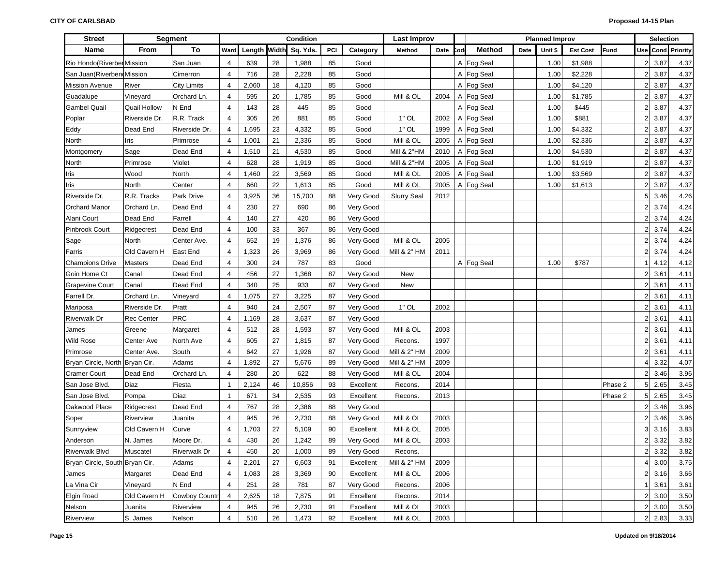| <b>Street</b>                  |               | <b>Segment</b>      |                          | Condition    |    |          |     |           | <b>Last Improv</b>     |      |     |               |      | <b>Planned Improv</b> |                 |             |                | <b>Selection</b> |          |
|--------------------------------|---------------|---------------------|--------------------------|--------------|----|----------|-----|-----------|------------------------|------|-----|---------------|------|-----------------------|-----------------|-------------|----------------|------------------|----------|
| <b>Name</b>                    | From          | To                  | Ward                     | Length Width |    | Sq. Yds. | PCI | Category  | Method                 | Date | `od | <b>Method</b> | Date | Unit \$               | <b>Est Cost</b> | <b>Fund</b> |                | Use Cond         | Priority |
| Rio Hondo(Riverber Mission     |               | San Juan            | 4                        | 639          | 28 | 1,988    | 85  | Good      |                        |      |     | A Fog Seal    |      | 1.00                  | \$1,988         |             | 2              | 3.87             | 4.37     |
| San Juan(Riverben(Mission      |               | Cimerron            | 4                        | 716          | 28 | 2,228    | 85  | Good      |                        |      |     | A Fog Seal    |      | 1.00                  | \$2,228         |             | 2              | 3.87             | 4.37     |
| <b>Mission Avenue</b>          | River         | <b>City Limits</b>  | $\overline{4}$           | 2,060        | 18 | 4,120    | 85  | Good      |                        |      |     | A Fog Seal    |      | 1.00                  | \$4,120         |             | 2              | 3.87             | 4.37     |
| Guadalupe                      | Vineyard      | Orchard Ln.         | 4                        | 595          | 20 | 1,785    | 85  | Good      | Mill & OL              | 2004 |     | A Fog Seal    |      | 1.00                  | \$1,785         |             | 2              | 3.87             | 4.37     |
| <b>Gambel Quail</b>            | Quail Hollow  | N End               | $\overline{4}$           | 143          | 28 | 445      | 85  | Good      |                        |      |     | A Fog Seal    |      | 1.00                  | \$445           |             | 2              | 3.87             | 4.37     |
| Poplar                         | Riverside Dr. | R.R. Track          | $\overline{4}$           | 305          | 26 | 881      | 85  | Good      | $1"$ OL                | 2002 |     | A Fog Seal    |      | 1.00                  | \$881           |             | 2              | 3.87             | 4.37     |
| Eddy                           | Dead End      | Riverside Dr.       | 4                        | 1,695        | 23 | 4,332    | 85  | Good      | $1"$ OL                | 1999 |     | A Fog Seal    |      | 1.00                  | \$4,332         |             | 2              | 3.87             | 4.37     |
| North                          | Iris          | Primrose            | $\overline{4}$           | 1,001        | 21 | 2,336    | 85  | Good      | Mill & OL              | 2005 |     | A Fog Seal    |      | 1.00                  | \$2,336         |             | $\overline{2}$ | 3.87             | 4.37     |
| Montgomery                     | Sage          | Dead End            | 4                        | 1,510        | 21 | 4,530    | 85  | Good      | Mill & 2"HM            | 2010 |     | A Fog Seal    |      | 1.00                  | \$4,530         |             | $\overline{2}$ | 3.87             | 4.37     |
| North                          | Primrose      | Violet              | $\overline{4}$           | 628          | 28 | 1,919    | 85  | Good      | <b>Mill &amp; 2"HM</b> | 2005 |     | A Fog Seal    |      | 1.00                  | \$1,919         |             | $\overline{2}$ | 3.87             | 4.37     |
| Iris                           | Wood          | North               | 4                        | 1,460        | 22 | 3,569    | 85  | Good      | Mill & OL              | 2005 |     | A Fog Seal    |      | 1.00                  | \$3,569         |             | $\overline{2}$ | 3.87             | 4.37     |
| Iris                           | North         | Center              | $\overline{4}$           | 660          | 22 | 1,613    | 85  | Good      | Mill & OL              | 2005 |     | A Fog Seal    |      | 1.00                  | \$1,613         |             | $\overline{2}$ | 3.87             | 4.37     |
| Riverside Dr.                  | R.R. Tracks   | Park Drive          | $\overline{4}$           | 3,925        | 36 | 15,700   | 88  | Very Good | <b>Slurry Seal</b>     | 2012 |     |               |      |                       |                 |             | 5              | 3.46             | 4.26     |
| <b>Orchard Manor</b>           | Orchard Ln.   | Dead End            | 4                        | 230          | 27 | 690      | 86  | Very Good |                        |      |     |               |      |                       |                 |             | 2              | 3.74             | 4.24     |
| Alani Court                    | Dead End      | Farrell             | $\overline{4}$           | 140          | 27 | 420      | 86  | Very Good |                        |      |     |               |      |                       |                 |             | 2              | 3.74             | 4.24     |
| <b>Pinbrook Court</b>          | Ridgecrest    | Dead End            | 4                        | 100          | 33 | 367      | 86  | Very Good |                        |      |     |               |      |                       |                 |             | 2              | 3.74             | 4.24     |
| Sage                           | North         | Center Ave.         | $\overline{4}$           | 652          | 19 | 1,376    | 86  | Very Good | Mill & OL              | 2005 |     |               |      |                       |                 |             | 2              | 3.74             | 4.24     |
| Farris                         | Old Cavern H  | <b>East End</b>     | $\overline{4}$           | 1,323        | 26 | 3,969    | 86  | Very Good | Mill & 2" HM           | 2011 |     |               |      |                       |                 |             | 2              | 3.74             | 4.24     |
| <b>Champions Drive</b>         | Masters       | Dead End            | $\overline{4}$           | 300          | 24 | 787      | 83  | Good      |                        |      |     | A Fog Seal    |      | 1.00                  | \$787           |             | 1              | 4.12             | 4.12     |
| Goin Home Ct                   | Canal         | Dead End            | 4                        | 456          | 27 | 1,368    | 87  | Very Good | New                    |      |     |               |      |                       |                 |             | 2              | 3.61             | 4.11     |
| <b>Grapevine Court</b>         | Canal         | Dead End            | $\overline{4}$           | 340          | 25 | 933      | 87  | Very Good | New                    |      |     |               |      |                       |                 |             | 2              | 3.61             | 4.11     |
| Farrell Dr.                    | Orchard Ln.   | Vineyard            | $\overline{4}$           | 1,075        | 27 | 3,225    | 87  | Very Good |                        |      |     |               |      |                       |                 |             | 2              | 3.61             | 4.11     |
| Mariposa                       | Riverside Dr. | Pratt               | $\overline{4}$           | 940          | 24 | 2,507    | 87  | Very Good | $1"$ OL                | 2002 |     |               |      |                       |                 |             | 2              | 3.61             | 4.11     |
| <b>Riverwalk Dr</b>            | Rec Center    | PRC                 | $\overline{4}$           | 1,169        | 28 | 3,637    | 87  | Very Good |                        |      |     |               |      |                       |                 |             | 2              | 3.61             | 4.11     |
| James                          | Greene        | Margaret            | $\overline{4}$           | 512          | 28 | 1,593    | 87  | Very Good | Mill & OL              | 2003 |     |               |      |                       |                 |             | 2              | 3.61             | 4.11     |
| <b>Wild Rose</b>               | Center Ave    | North Ave           | 4                        | 605          | 27 | 1,815    | 87  | Very Good | Recons.                | 1997 |     |               |      |                       |                 |             | $\overline{2}$ | 3.61             | 4.11     |
| Primrose                       | Center Ave.   | South               | $\overline{4}$           | 642          | 27 | 1,926    | 87  | Very Good | Mill & 2" HM           | 2009 |     |               |      |                       |                 |             | 2              | 3.61             | 4.11     |
| Bryan Circle, North Bryan Cir. |               | Adams               | $\overline{4}$           | 1,892        | 27 | 5,676    | 89  | Very Good | Mill & 2" HM           | 2009 |     |               |      |                       |                 |             | 4              | 3.32             | 4.07     |
| <b>Cramer Court</b>            | Dead End      | Orchard Ln.         | $\overline{4}$           | 280          | 20 | 622      | 88  | Very Good | Mill & OL              | 2004 |     |               |      |                       |                 |             | 2              | 3.46             | 3.96     |
| San Jose Blvd.                 | Diaz          | Fiesta              | $\mathbf 1$              | 2,124        | 46 | 10,856   | 93  | Excellent | Recons.                | 2014 |     |               |      |                       |                 | Phase 2     | 5 <sub>5</sub> | 2.65             | 3.45     |
| San Jose Blvd.                 | Pompa         | Diaz                | $\mathbf{1}$             | 671          | 34 | 2,535    | 93  | Excellent | Recons.                | 2013 |     |               |      |                       |                 | Phase 2     | 5 <sup>1</sup> | 2.65             | 3.45     |
| Oakwood Place                  | Ridgecrest    | Dead End            | $\overline{4}$           | 767          | 28 | 2,386    | 88  | Very Good |                        |      |     |               |      |                       |                 |             | 2              | 3.46             | 3.96     |
| Soper                          | Riverview     | Juanita             | 4                        | 945          | 26 | 2,730    | 88  | Very Good | Mill & OL              | 2003 |     |               |      |                       |                 |             | 2              | 3.46             | 3.96     |
| Sunnyview                      | Old Cavern H  | Curve               | $\overline{4}$           | 1,703        | 27 | 5,109    | 90  | Excellent | Mill & OL              | 2005 |     |               |      |                       |                 |             | 3              | 3.16             | 3.83     |
| Anderson                       | N. James      | Moore Dr.           | 4                        | 430          | 26 | 1,242    | 89  | Very Good | Mill & OL              | 2003 |     |               |      |                       |                 |             | 2              | 3.32             | 3.82     |
| <b>Riverwalk Blvd</b>          | Muscatel      | <b>Riverwalk Dr</b> | 4                        | 450          | 20 | 1,000    | 89  | Very Good | Recons.                |      |     |               |      |                       |                 |             | $2\vert$       | 3.32             | 3.82     |
| Bryan Circle, South Bryan Cir. |               | Adams               | 4                        | 2,201        | 27 | 6,603    | 91  | Excellent | Mill & 2" HM           | 2009 |     |               |      |                       |                 |             | 4              | 3.00             | 3.75     |
| James                          | Margaret      | Dead End            | 4                        | 1,083        | 28 | 3,369    | 90  | Excellent | Mill & OL              | 2006 |     |               |      |                       |                 |             | 2              | 3.16             | 3.66     |
| La Vina Cir                    | Vineyard      | N End               | 4                        | 251          | 28 | 781      | 87  | Very Good | Recons.                | 2006 |     |               |      |                       |                 |             | 1 <sup>1</sup> | 3.61             | 3.61     |
| Elgin Road                     | Old Cavern H  | Cowboy Country      | $\overline{4}$           | 2,625        | 18 | 7,875    | 91  | Excellent | Recons.                | 2014 |     |               |      |                       |                 |             | 2              | 3.00             | 3.50     |
| Nelson                         | Juanita       | Riverview           | 4                        | 945          | 26 | 2,730    | 91  | Excellent | Mill & OL              | 2003 |     |               |      |                       |                 |             | $2\vert$       | 3.00             | 3.50     |
| Riverview                      | S. James      | Nelson              | $\overline{\mathcal{A}}$ | 510          | 26 | 1,473    | 92  | Excellent | Mill & OL              | 2003 |     |               |      |                       |                 |             | 2 <sub>1</sub> | 2.83             | 3.33     |